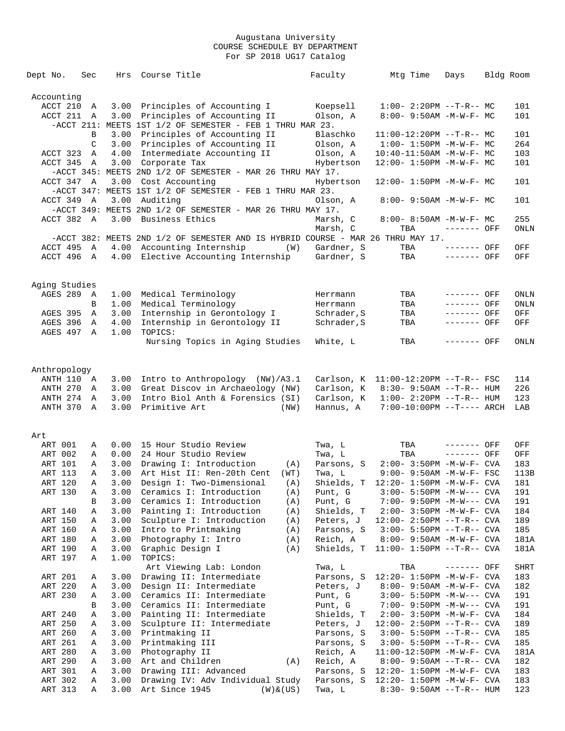| Dept No.           | Sec         | Hrs          | Course Title                                                                    |                | Faculty                                        |     | Mtg Time | Days                                                                   | Bldg Room |             |
|--------------------|-------------|--------------|---------------------------------------------------------------------------------|----------------|------------------------------------------------|-----|----------|------------------------------------------------------------------------|-----------|-------------|
| Accounting         |             |              |                                                                                 |                |                                                |     |          |                                                                        |           |             |
| ACCT 210           | Α           | 3.00         | Principles of Accounting I                                                      |                | Koepsell                                       |     |          | $1:00-2:20PM -T-R--MC$                                                 |           | 101         |
| ACCT 211           | A           | 3.00         | Principles of Accounting II                                                     |                | Olson, A                                       |     |          | $8:00 - 9:50AM - M - W - F - MC$                                       |           | 101         |
|                    |             |              | $-$ ACCT 211: MEETS 1ST 1/2 OF SEMESTER - FEB 1 THRU MAR 23.                    |                |                                                |     |          |                                                                        |           |             |
|                    | В           | 3.00         | Principles of Accounting II                                                     |                | Blaschko                                       |     |          | $11:00-12:20PM$ --T-R-- MC                                             |           | 101         |
|                    | C           | 3.00         | Principles of Accounting II                                                     |                | Olson, A                                       |     |          | $1:00-1:50PM -M-W-F-MC$                                                |           | 264         |
| ACCT 323           | Α           | 4.00         | Intermediate Accounting II                                                      |                | Olson, A                                       |     |          | $10:40 - 11:50AM$ -M-W-F- MC                                           |           | 103         |
| ACCT 345           | A           | 3.00         | Corporate Tax                                                                   |                | Hybertson                                      |     |          | $12:00 - 1:50PM - M - W - F - MC$                                      |           | 101         |
|                    |             |              | -ACCT 345: MEETS 2ND 1/2 OF SEMESTER - MAR 26 THRU MAY 17.                      |                |                                                |     |          |                                                                        |           |             |
| ACCT 347 A         |             | 3.00         | Cost Accounting                                                                 |                | Hybertson                                      |     |          | $12:00 - 1:50PM - M - W - F - MC$                                      |           | 101         |
|                    |             |              | $-$ ACCT 347: MEETS 1ST 1/2 OF SEMESTER - FEB 1 THRU MAR 23.                    |                |                                                |     |          |                                                                        |           |             |
| ACCT 349 A         |             | 3.00         | Auditing                                                                        |                | Olson, A                                       |     |          | 8:00- 9:50AM -M-W-F- MC                                                |           | 101         |
|                    |             |              | -ACCT 349: MEETS 2ND 1/2 OF SEMESTER - MAR 26 THRU MAY 17.                      |                |                                                |     |          |                                                                        |           |             |
| ACCT 382 A         |             | 3.00         | Business Ethics                                                                 |                | Marsh, C                                       |     |          | 8:00- 8:50AM -M-W-F- MC                                                |           | 255         |
|                    |             |              | -ACCT 382: MEETS 2ND 1/2 OF SEMESTER AND IS HYBRID COURSE - MAR 26 THRU MAY 17. |                | Marsh, C                                       | TBA |          | ------- OFF                                                            |           | ONLN        |
| ACCT 495           | A           | 4.00         | Accounting Internship                                                           | (W)            | Gardner, S                                     | TBA |          | $-----$ OFF                                                            |           | OFF         |
| ACCT 496 A         |             | 4.00         | Elective Accounting Internship                                                  |                | Gardner, S                                     |     | TBA      | $-----$ OFF                                                            |           | OFF         |
|                    |             |              |                                                                                 |                |                                                |     |          |                                                                        |           |             |
| Aging Studies      |             |              |                                                                                 |                |                                                |     |          |                                                                        |           |             |
| AGES 289           | A           | 1.00         | Medical Terminology                                                             |                | Herrmann                                       | TBA |          | ------- OFF                                                            |           | ONLN        |
|                    | B           | 1.00         | Medical Terminology                                                             |                | Herrmann                                       | TBA |          | ------- OFF                                                            |           | ONLN        |
| AGES 395           | A           | 3.00         | Internship in Gerontology I                                                     |                | Schrader, S                                    | TBA |          | ------- OFF                                                            |           | OFF         |
| AGES 396           | A           | 4.00         | Internship in Gerontology II                                                    |                | Schrader, S                                    | TBA |          | ------- OFF                                                            |           | OFF         |
| AGES 497           | A           | 1.00         | TOPICS:                                                                         |                |                                                |     |          |                                                                        |           |             |
|                    |             |              | Nursing Topics in Aging Studies                                                 |                | White, L                                       | TBA |          | ------- OFF                                                            |           | ONLN        |
|                    |             |              |                                                                                 |                |                                                |     |          |                                                                        |           |             |
| Anthropology       |             |              |                                                                                 |                |                                                |     |          |                                                                        |           |             |
| ANTH 110 A         |             | 3.00         | Intro to Anthropology (NW)/A3.1                                                 |                | Carlson, K                                     |     |          | $11:00-12:20PM -T-R--FSC$                                              |           | 114         |
| ANTH 270           | Α           |              | 3.00 Great Discov in Archaeology (NW)                                           |                | Carlson, K                                     |     |          | $8:30 - 9:50AM -T-R--HUM$                                              |           | 226         |
| ANTH 274           | A           | 3.00         | Intro Biol Anth & Forensics (SI)                                                |                | Carlson, K                                     |     |          | $1:00 - 2:20PM -T-R--HUM$                                              |           | 123         |
| ANTH 370           | A           | 3.00         | Primitive Art                                                                   | (NW)           | Hannus, A                                      |     |          | $7:00-10:00PM$ --T---- ARCH                                            |           | LAB         |
|                    |             |              |                                                                                 |                |                                                |     |          |                                                                        |           |             |
| Art                |             |              |                                                                                 |                |                                                |     |          |                                                                        |           |             |
| ART 001            | Α           | 0.00         | 15 Hour Studio Review                                                           |                | Twa, L                                         | TBA |          | ------- OFF                                                            |           | OFF         |
| ART 002            | Α           | 0.00         | 24 Hour Studio Review                                                           |                | Twa, L                                         | TBA |          | ------- OFF                                                            |           | OFF         |
| ART 101<br>ART 113 | Α<br>Α      | 3.00<br>3.00 | Drawing I: Introduction<br>Art Hist II: Ren-20th Cent                           | (A)<br>(WT)    | Parsons, S                                     |     |          | $2:00 - 3:50PM - M - W - F - CVA$<br>$9:00 - 9:50AM - M - W - F - FSC$ |           | 183<br>113B |
| ART 120            | $\mathbb A$ |              | 3.00 Design I: Two-Dimensional                                                  |                | Twa, L<br>Shields, T 12:20- 1:50PM -M-W-F- CVA |     |          |                                                                        |           | 181         |
| ART 130            | Α           | 3.00         | Ceramics I: Introduction                                                        | (A)<br>(A)     | Punt, G                                        |     |          | $3:00 - 5:50PM -M-W---$ CVA                                            |           | 191         |
|                    | В           | 3.00         | Ceramics I: Introduction                                                        | (A)            | Punt, G                                        |     |          | 7:00- 9:50PM -M-W--- CVA                                               |           | 191         |
| ART 140            | Α           | 3.00         | Painting I: Introduction                                                        | (A)            | Shields, T                                     |     |          | $2:00 - 3:50PM - M - W - F - CVA$                                      |           | 184         |
| ART 150            | Α           | 3.00         | Sculpture I: Introduction                                                       | (A)            | Peters, J                                      |     |          | $12:00 - 2:50PM -T-R--CVA$                                             |           | 189         |
| ART 160            | Α           | 3.00         | Intro to Printmaking                                                            | (A)            | Parsons, S                                     |     |          | $3:00 - 5:50PM -T-R--CVA$                                              |           | 185         |
| ART 180            | Α           | 3.00         | Photography I: Intro                                                            | (A)            | Reich, A                                       |     |          | $8:00 - 9:50AM - M - W - F - CVA$                                      |           | 181A        |
| ART 190            | Α           | 3.00         | Graphic Design I                                                                | (A)            | Shields, T                                     |     |          | $11:00 - 1:50PM -T-R--CVA$                                             |           | 181A        |
| ART 197            | Α           | 1.00         | TOPICS:                                                                         |                |                                                |     |          |                                                                        |           |             |
|                    |             |              | Art Viewing Lab: London                                                         |                | Twa, L                                         | TBA |          | ------- OFF                                                            |           | <b>SHRT</b> |
| ART 201            | Α           | 3.00         | Drawing II: Intermediate                                                        |                | Parsons, S                                     |     |          | $12:20 - 1:50PM - M - W - F - CVA$                                     |           | 183         |
| ART 220            | Α           | 3.00         | Design II: Intermediate                                                         |                | Peters, J                                      |     |          | 8:00- 9:50AM -M-W-F- CVA                                               |           | 182         |
| ART 230            | Α           | 3.00         | Ceramics II: Intermediate                                                       |                | Punt, G                                        |     |          | $3:00 - 5:50PM -M-W---$ CVA                                            |           | 191         |
|                    | В           | 3.00         | Ceramics II: Intermediate                                                       |                | Punt, G                                        |     |          | $7:00-9:50PM -M-W---$ CVA                                              |           | 191         |
| ART 240            | Α           | 3.00         | Painting II: Intermediate                                                       |                | Shields, T                                     |     |          | $2:00 - 3:50PM - M - W - F - CVA$                                      |           | 184         |
| ART 250            | Α           | 3.00         | Sculpture II: Intermediate                                                      |                | Peters, J                                      |     |          | $12:00 - 2:50PM -T-R--CVA$                                             |           | 189         |
| ART 260            | Α           | 3.00         | Printmaking II                                                                  |                | Parsons, S                                     |     |          | $3:00 - 5:50PM -T-R--CVA$                                              |           | 185         |
| ART 261            | Α           | 3.00         | Printmaking III                                                                 |                | Parsons, S                                     |     |          | $3:00 - 5:50PM -T-R--CVA$                                              |           | 185         |
| ART 280            | Α           | 3.00         | Photography II                                                                  |                | Reich, A                                       |     |          | $11:00-12:50PM -M-W-F-CVA$                                             |           | 181A        |
| ART 290            | Α           | 3.00         | Art and Children                                                                | (A)            | Reich, A                                       |     |          | $8:00 - 9:50AM -T-R--CVA$                                              |           | 182         |
| ART 301            | Α           | 3.00         | Drawing III: Advanced                                                           |                | Parsons, S                                     |     |          | $12:20 - 1:50PM - M - W - F - CVA$                                     |           | 183         |
| ART 302            | Α           | 3.00         | Drawing IV: Adv Individual Study                                                |                | Parsons, S                                     |     |          | $12:20 - 1:50PM - M - W - F - CVA$                                     |           | 183         |
| ART 313            | Α           | 3.00         | Art Since 1945                                                                  | $(W)$ & $(US)$ | Twa, L                                         |     |          | $8:30 - 9:50AM -T-R-- HUM$                                             |           | 123         |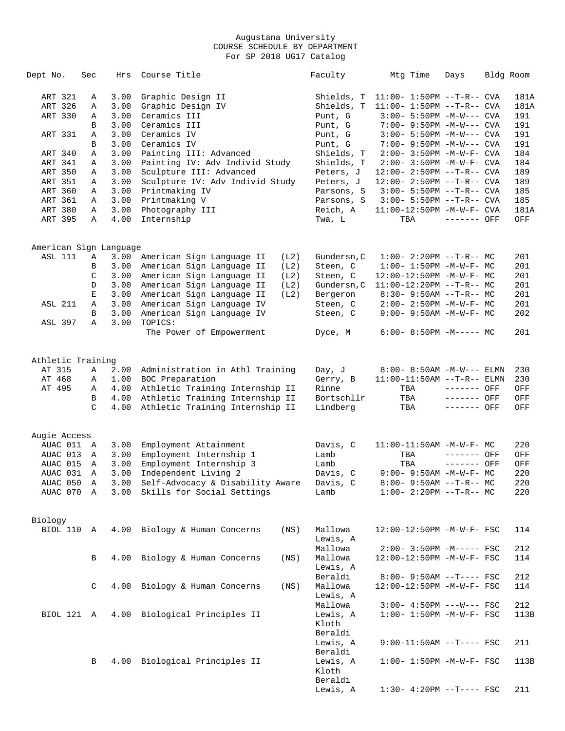| Dept No.               | Sec    | Hrs          | Course Title                                                       | Faculty                | Mtg Time                                                    | Days                       | Bldg Room  |
|------------------------|--------|--------------|--------------------------------------------------------------------|------------------------|-------------------------------------------------------------|----------------------------|------------|
| ART 321                | Α      | 3.00         | Graphic Design II                                                  | Shields, T             | $11:00 - 1:50PM -T-R--CVA$                                  |                            | 181A       |
| ART 326                | Α      | 3.00         | Graphic Design IV                                                  | Shields, T             | $11:00 - 1:50PM -T-R--CVA$                                  |                            | 181A       |
| ART 330                | Α      | 3.00         | Ceramics III                                                       | Punt, G                | $3:00 - 5:50PM -M-W---$ CVA                                 |                            | 191        |
|                        | B      | 3.00         | Ceramics III                                                       | Punt, G                | 7:00- 9:50PM -M-W--- CVA                                    |                            | 191        |
| ART 331                | Α      | 3.00         | Ceramics IV                                                        | Punt, G                | $3:00 - 5:50PM -M-W---$ CVA                                 |                            | 191        |
|                        | B      | 3.00         | Ceramics IV                                                        | Punt, G                | 7:00- 9:50PM -M-W--- CVA                                    |                            | 191        |
| ART 340                | Α      | 3.00         | Painting III: Advanced                                             | Shields, T             | $2:00 - 3:50PM - M - W - F - CVA$                           |                            | 184        |
| ART 341                | Α      | 3.00         | Painting IV: Adv Individ Study                                     | Shields, T             | 2:00- 3:50PM -M-W-F- CVA                                    |                            | 184        |
| ART 350                | Α      | 3.00         | Sculpture III: Advanced                                            | Peters, J              | $12:00 - 2:50PM -T-R--CVA$                                  |                            | 189        |
| ART 351                | Α      | 3.00         | Sculpture IV: Adv Individ Study                                    | Peters, J              | $12:00 - 2:50PM -T-R--CVA$                                  |                            | 189        |
| ART 360                | Α      | 3.00         | Printmaking IV                                                     | Parsons, S             | $3:00 - 5:50PM -T-R--CVA$                                   |                            | 185        |
| ART 361                | Α      | 3.00         | Printmaking V                                                      | Parsons, S             | $3:00 - 5:50PM -T-R--CVA$                                   |                            | 185        |
| ART 380                | Α      | 3.00         | Photography III                                                    | Reich, A               | $11:00-12:50PM -M-W-F-CVA$                                  |                            | 181A       |
| ART 395                | Α      | 4.00         | Internship                                                         | Twa, L                 | TBA                                                         | ------- OFF                | OFF        |
| American Sign Language |        |              |                                                                    |                        |                                                             |                            |            |
| ASL 111                | Α      | 3.00         | American Sign Language II<br>(L2)                                  | Gundersn, C            | $1:00-2:20PM -T-R--MC$                                      |                            | 201        |
|                        | В      | 3.00         | American Sign Language II<br>(L2)                                  | Steen, C               | $1:00 - 1:50PM - M - W - F - MC$                            |                            | 201        |
|                        | C      | 3.00         | American Sign Language II<br>(L2)                                  | Steen, C               | 12:00-12:50PM -M-W-F- MC                                    |                            | 201        |
|                        | D      | 3.00         | American Sign Language II<br>(L2)                                  | Gundersn, C            | $11:00-12:20PM$ --T-R-- MC                                  |                            | 201        |
|                        | Е      | 3.00         | American Sign Language II<br>(L2)                                  | Bergeron               | $8:30 - 9:50AM -T-R-- MC$                                   |                            | 201        |
| <b>ASL 211</b>         | Α      | 3.00         | American Sign Language IV                                          | Steen, C               | 2:00- 2:50PM -M-W-F- MC                                     |                            | 201        |
|                        | B      | 3.00         | American Sign Language IV                                          | Steen, C               | $9:00 - 9:50AM - M - W - F - MC$                            |                            | 202        |
| ASL 397                | Α      | 3.00         | TOPICS:<br>The Power of Empowerment                                | Dyce, M                | $6:00-8:50PM -M--- MC$                                      |                            | 201        |
|                        |        |              |                                                                    |                        |                                                             |                            |            |
| Athletic Training      |        |              |                                                                    |                        |                                                             |                            |            |
| AT 315                 | Α      | 2.00         | Administration in Athl Training                                    | Day, J                 | $8:00 - 8:50AM - M-W---$ ELMN                               |                            | 230        |
| AT 468                 | Α      | 1.00         | BOC Preparation                                                    | Gerry, B               | $11:00-11:50AM$ --T-R-- ELMN                                |                            | 230        |
| AT 495                 | Α      | 4.00         | Athletic Training Internship II                                    | Rinne                  | TBA                                                         | ------- OFF                | OFF        |
|                        | В<br>C | 4.00<br>4.00 | Athletic Training Internship II<br>Athletic Training Internship II | Bortschllr<br>Lindberg | TBA<br>TBA                                                  | ------- OFF<br>------- OFF | OFF<br>OFF |
|                        |        |              |                                                                    |                        |                                                             |                            |            |
| Augie Access           |        |              |                                                                    |                        |                                                             |                            |            |
| AUAC 011 A             |        | 3.00         | Employment Attainment                                              | Davis, C               | 11:00-11:50AM -M-W-F- MC                                    |                            | 220        |
| AUAC 013               | A      | 3.00         | Employment Internship 1                                            | Lamb                   | TBA                                                         | ------- OFF                | OFF        |
| AUAC 015<br>AUAC 031   | A      | 3.00<br>3.00 | Employment Internship 3                                            | Lamb<br>Davis, C       | TBA                                                         | ------- OFF                | OFF<br>220 |
| AUAC 050               | Α<br>A | 3.00         | Independent Living 2<br>Self-Advocacy & Disability Aware           | Davis, C               | $9:00 - 9:50AM - M - W - F - MC$<br>$8:00-9:50AM --T-R--MC$ |                            | 220        |
| AUAC 070 A             |        |              | 3.00 Skills for Social Settings                                    | Lamb                   | $1:00-2:20PM -T-R--MC$                                      |                            | 220        |
|                        |        |              |                                                                    |                        |                                                             |                            |            |
| Biology                |        |              |                                                                    |                        |                                                             |                            |            |
| BIOL 110 A             |        |              | 4.00 Biology & Human Concerns<br>(NS)                              | Mallowa                | 12:00-12:50PM -M-W-F- FSC                                   |                            | 114        |
|                        |        |              |                                                                    | Lewis, A               |                                                             |                            |            |
|                        |        |              |                                                                    | Mallowa                | $2:00-3:50PM -M--- FSC$                                     |                            | 212        |
|                        | B      | 4.00         | Biology & Human Concerns<br>(NS)                                   | Mallowa<br>Lewis, A    | 12:00-12:50PM -M-W-F- FSC                                   |                            | 114        |
|                        |        |              |                                                                    | Beraldi                | 8:00- 9:50AM --T---- FSC                                    |                            |            |
|                        |        |              |                                                                    | Mallowa                |                                                             |                            | 212        |
|                        | C      |              | 4.00 Biology & Human Concerns<br>(NS)                              | Lewis, A               | 12:00-12:50PM -M-W-F- FSC                                   |                            | 114        |
|                        |        |              |                                                                    | Mallowa                | $3:00-4:50PM$ ---W--- FSC                                   |                            | 212        |
| BIOL 121 A             |        |              | 4.00 Biological Principles II                                      | Lewis, A               | $1:00 - 1:50PM - M - W - F - FSC$                           |                            | 113B       |
|                        |        |              |                                                                    | Kloth                  |                                                             |                            |            |
|                        |        |              |                                                                    | Beraldi                |                                                             |                            |            |
|                        |        |              |                                                                    | Lewis, A               | $9:00-11:50AM$ --T---- FSC                                  |                            | 211        |
|                        |        |              |                                                                    | Beraldi                |                                                             |                            |            |
|                        | В      |              | 4.00 Biological Principles II                                      | Lewis, A               | $1:00 - 1:50PM - M - W - F - FSC$                           |                            | 113B       |
|                        |        |              |                                                                    | Kloth                  |                                                             |                            |            |
|                        |        |              |                                                                    | Beraldi                |                                                             |                            |            |
|                        |        |              |                                                                    | Lewis, A               | $1:30-4:20PM --T--- FSC$                                    |                            | 211        |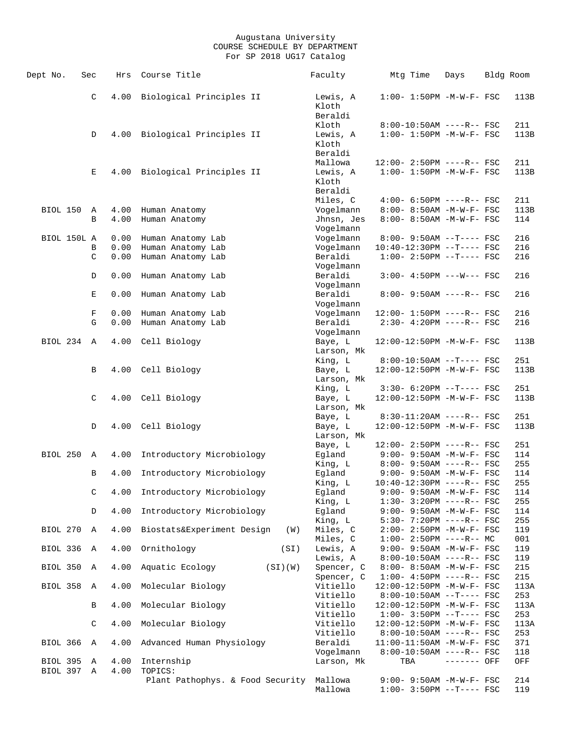| Dept No.             | Sec           | Hrs          | Course Title                      | Faculty                            | Mtg Time                                                        | Days        | Bldg Room   |
|----------------------|---------------|--------------|-----------------------------------|------------------------------------|-----------------------------------------------------------------|-------------|-------------|
|                      | C             | 4.00         | Biological Principles II          | Lewis, A<br>Kloth<br>Beraldi       | $1:00 - 1:50PM -M-W-F - FSC$                                    |             | 113B        |
|                      | D             |              | 4.00 Biological Principles II     | Kloth<br>Lewis, A<br>Kloth         | $8:00-10:50AM$ ----R-- FSC<br>$1:00 - 1:50PM - M - W - F - FSC$ |             | 211<br>113B |
|                      |               |              |                                   | Beraldi<br>Mallowa                 | 12:00- 2:50PM ----R-- FSC                                       |             | 211         |
|                      | Е             | 4.00         | Biological Principles II          | Lewis, A<br>Kloth<br>Beraldi       | $1:00 - 1:50PM - M - W - F - FSC$                               |             | 113B        |
|                      |               |              |                                   | Miles, C                           | $4:00 - 6:50PM$ ----R-- FSC                                     |             | 211         |
| BIOL 150             | Α             | 4.00         | Human Anatomy                     | Vogelmann                          | 8:00- 8:50AM -M-W-F- FSC                                        |             | 113B        |
|                      | B             | 4.00         | Human Anatomy                     | Jhnsn, Jes<br>Vogelmann            | 8:00- 8:50AM -M-W-F- FSC                                        |             | 114         |
| BIOL 150L A          |               | 0.00         | Human Anatomy Lab                 | Vogelmann                          | $8:00-9:50AM --T---FSC$                                         |             | 216         |
|                      | В             | 0.00         | Human Anatomy Lab                 | Vogelmann                          | 10:40-12:30PM --T---- FSC                                       |             | 216         |
|                      | $\mathcal{C}$ | 0.00         | Human Anatomy Lab                 | Beraldi<br>Vogelmann               | $1:00-2:50PM$ --T---- FSC                                       |             | 216         |
|                      | D             | 0.00         | Human Anatomy Lab                 | Beraldi                            | $3:00 - 4:50PM$ ---W--- FSC                                     |             | 216         |
|                      |               |              |                                   | Vogelmann                          |                                                                 |             |             |
|                      | Е             | 0.00         | Human Anatomy Lab                 | Beraldi<br>Vogelmann               | $8:00 - 9:50AM$ ----R-- FSC                                     |             | 216         |
|                      | F             | 0.00         | Human Anatomy Lab                 | Vogelmann                          | 12:00- 1:50PM ----R-- FSC                                       |             | 216         |
|                      | G             | 0.00         | Human Anatomy Lab                 | Beraldi                            | $2:30-4:20PM$ ----R-- FSC                                       |             | 216         |
| BIOL 234             | A             | 4.00         | Cell Biology                      | Vogelmann<br>Baye, L<br>Larson, Mk | 12:00-12:50PM -M-W-F- FSC                                       |             | 113B        |
|                      |               |              |                                   | King, L                            | $8:00-10:50AM$ --T---- FSC                                      |             | 251         |
|                      | В             |              | 4.00 Cell Biology                 | Baye, L                            | 12:00-12:50PM -M-W-F- FSC                                       |             | 113B        |
|                      |               |              |                                   | Larson, Mk<br>King, L              | $3:30-6:20PM --T---FSC$                                         |             | 251         |
|                      | C             |              | 4.00 Cell Biology                 | Baye, L                            | 12:00-12:50PM -M-W-F- FSC                                       |             | 113B        |
|                      |               |              |                                   | Larson, Mk                         |                                                                 |             |             |
|                      | D             | 4.00         | Cell Biology                      | Baye, L<br>Baye, L                 | $8:30-11:20AM$ ----R-- FSC<br>12:00-12:50PM -M-W-F- FSC         |             | 251<br>113B |
|                      |               |              |                                   | Larson, Mk                         |                                                                 |             |             |
|                      |               |              |                                   | Baye, L                            | 12:00- 2:50PM ----R-- FSC                                       |             | 251         |
| BIOL 250             | Α             | 4.00         | Introductory Microbiology         | Egland                             | $9:00 - 9:50AM - M - W - F - FSC$                               |             | 114         |
|                      | В             | 4.00         | Introductory Microbiology         | King, L<br>Egland                  | $8:00 - 9:50AM$ ----R-- FSC<br>$9:00 - 9:50AM - M-W-F - FSC$    |             | 255<br>114  |
|                      |               |              |                                   | King, L                            | 10:40-12:30PM ----R-- FSC                                       |             | 255         |
|                      | C             | 4.00         | Introductory Microbiology         | Egland                             | $9:00 - 9:50AM - M - W - F - FSC$                               |             | 114         |
|                      | D             | 4.00         |                                   | King, L<br>Egland                  | $1:30 - 3:20PM$ ----R-- FSC                                     |             | 255         |
|                      |               |              | Introductory Microbiology         | King, L                            | $9:00 - 9:50AM - M-W-F - FSC$<br>5:30- 7:20PM ----R-- FSC       |             | 114<br>255  |
| BIOL 270             | A             | 4.00         | Biostats&Experiment Design<br>(W) | Miles, C                           | $2:00-2:50PM -M-W-F-FSC$                                        |             | 119         |
|                      |               |              |                                   | Miles, C                           | $1:00-2:50PM$ ----R-- MC                                        |             | 001         |
| BIOL 336             | Α             | 4.00         | Ornithology<br>(SI)               | Lewis, A<br>Lewis, A               | $9:00 - 9:50AM - M-W-F - FSC$<br>$8:00-10:50AM$ ----R-- FSC     |             | 119<br>119  |
| BIOL 350             | A             | 4.00         | Aquatic Ecology<br>(SI)(W)        | Spencer, C                         | 8:00- 8:50AM -M-W-F- FSC                                        |             | 215         |
|                      |               |              |                                   | Spencer, C                         | $1:00-4:50PM$ ----R-- FSC                                       |             | 215         |
| BIOL 358             | A             | 4.00         | Molecular Biology                 | Vitiello<br>Vitiello               | 12:00-12:50PM -M-W-F- FSC<br>$8:00-10:50AM$ --T---- FSC         |             | 113A<br>253 |
|                      | В             | 4.00         | Molecular Biology                 | Vitiello                           | 12:00-12:50PM -M-W-F- FSC                                       |             | 113A        |
|                      | C             | 4.00         | Molecular Biology                 | Vitiello<br>Vitiello               | $1:00-3:50PM -T---FSC$<br>12:00-12:50PM -M-W-F- FSC             |             | 253<br>113A |
|                      |               |              |                                   | Vitiello                           | $8:00-10:50AM$ ----R-- FSC                                      |             | 253         |
| BIOL 366             | A             | 4.00         | Advanced Human Physiology         | Beraldi                            | 11:00-11:50AM -M-W-F- FSC                                       |             | 371         |
|                      |               |              |                                   | Vogelmann                          | $8:00-10:50AM$ ----R-- FSC                                      |             | 118         |
| BIOL 395<br>BIOL 397 | Α<br>Α        | 4.00<br>4.00 | Internship<br>TOPICS:             | Larson, Mk                         | TBA                                                             | ------- OFF | OFF         |
|                      |               |              | Plant Pathophys. & Food Security  | Mallowa<br>Mallowa                 | $9:00 - 9:50AM - M-W-F - FSC$<br>$1:00-3:50PM -T---FSC$         |             | 214<br>119  |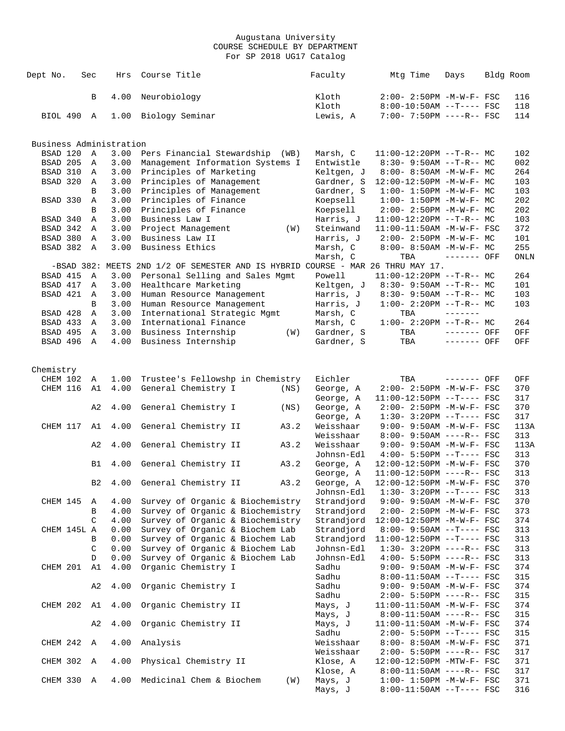| Dept No.                | Sec            | Hrs          | Course Title                                                                    | Faculty                  | Mtg Time                                               | Days         | Bldg Room  |
|-------------------------|----------------|--------------|---------------------------------------------------------------------------------|--------------------------|--------------------------------------------------------|--------------|------------|
|                         | B              | 4.00         | Neurobiology                                                                    | Kloth<br>Kloth           | 2:00- 2:50PM -M-W-F- FSC<br>$8:00-10:50AM$ --T---- FSC |              | 116<br>118 |
| BIOL 490                | A              | 1.00         | Biology Seminar                                                                 | Lewis, A                 | 7:00- 7:50PM ----R-- FSC                               |              | 114        |
| Business Administration |                |              |                                                                                 |                          |                                                        |              |            |
| BSAD 120                | $\mathbb{A}$   | 3.00         | Pers Financial Stewardship<br>(WB)                                              | Marsh, C                 | $11:00-12:20PM$ --T-R-- MC                             |              | 102        |
| BSAD 205                | A              | 3.00         | Management Information Systems I                                                | Entwistle                | $8:30 - 9:50AM -T-R--MC$                               |              | 002        |
| BSAD 310                | A              | 3.00         | Principles of Marketing                                                         | Keltgen, J               | 8:00- 8:50AM -M-W-F- MC                                |              | 264        |
| BSAD 320                | $\overline{A}$ | 3.00         | Principles of Management                                                        | Gardner, S               | 12:00-12:50PM -M-W-F- MC                               |              | 103        |
|                         | B              | 3.00         | Principles of Management                                                        | Gardner, S               | $1:00 - 1:50PM - M - W - F - MC$                       |              | 103        |
| BSAD 330                | Α              | 3.00         | Principles of Finance                                                           | Koepsell                 | $1:00-1:50PM -M-W-F-MC$                                |              | 202        |
|                         | B              | 3.00         | Principles of Finance                                                           | Koepsell                 | $2:00 - 2:50PM -M-W-F - MC$                            |              | 202        |
| BSAD 340                | Α              | 3.00         | Business Law I                                                                  | Harris, J                | $11:00-12:20PM$ --T-R-- MC                             |              | 103        |
| BSAD 342                | A              | 3.00         | Project Management<br>(W)                                                       | Steinwand                | $11:00-11:50AM$ -M-W-F- FSC                            |              | 372        |
| BSAD 380                | $\mathbb A$    | 3.00         | Business Law II                                                                 | Harris, J                | $2:00 - 2:50PM -M-W-F-MC$                              |              | 101        |
| BSAD 382                | A              | 3.00         | Business Ethics                                                                 | Marsh, C                 | $8:00 - 8:50AM - M - W - F - MC$                       |              | 255        |
|                         |                |              |                                                                                 | Marsh, C                 | TBA                                                    | $------$ OFF | ONLN       |
| BSAD 415                | A              |              | -BSAD 382: MEETS 2ND 1/2 OF SEMESTER AND IS HYBRID COURSE - MAR 26 THRU MAY 17. | Powell                   | $11:00-12:20PM$ --T-R-- MC                             |              |            |
| BSAD 417                | Α              | 3.00<br>3.00 | Personal Selling and Sales Mgmt<br>Healthcare Marketing                         | Keltgen, J               | $8:30 - 9:50AM -T-R--MC$                               |              | 264<br>101 |
| BSAD 421                | A              | 3.00         | Human Resource Management                                                       | Harris, J                | $8:30 - 9:50AM -T-R-- MC$                              |              | 103        |
|                         | B              | 3.00         | Human Resource Management                                                       | Harris, J                | $1:00-2:20PM -T-R--MC$                                 |              | 103        |
| BSAD 428                | Α              | 3.00         | International Strategic Mgmt                                                    | Marsh, C                 | TBA                                                    |              |            |
| BSAD 433                | A              | 3.00         | International Finance                                                           | Marsh, C                 | $1:00 - 2:20PM -T-R--MC$                               |              | 264        |
| BSAD 495                | A              | 3.00         | Business Internship<br>(W)                                                      | Gardner, S               | TBA                                                    | ------- OFF  | OFF        |
| BSAD 496                | A              | 4.00         | Business Internship                                                             | Gardner, S               | TBA                                                    | ------- OFF  | OFF        |
| Chemistry               |                |              |                                                                                 |                          |                                                        |              |            |
| CHEM 102                | A              | 1.00         | Trustee's Fellowshp in Chemistry                                                | Eichler                  | TBA                                                    | ------- OFF  | OFF        |
| CHEM 116                | A1             | 4.00         | General Chemistry I<br>(NS)                                                     | George, A                | 2:00- 2:50PM -M-W-F- FSC                               |              | 370        |
|                         |                |              |                                                                                 | George, A                | 11:00-12:50PM --T---- FSC                              |              | 317        |
|                         | A <sub>2</sub> | 4.00         | General Chemistry I<br>(NS)                                                     | George, A                | $2:00 - 2:50PM -M-W-F - FSC$                           |              | 370        |
|                         |                |              |                                                                                 | George, A                | $1:30-3:20PM --T---FSC$                                |              | 317        |
| CHEM 117                | A1             | 4.00         | General Chemistry II<br>A3.2                                                    | Weisshaar                | $9:00 - 9:50AM - M-W-F - FSC$                          |              | 113A       |
|                         |                |              |                                                                                 | Weisshaar                | $8:00 - 9:50AM$ ----R-- FSC                            |              | 313        |
|                         | A2             | 4.00         | General Chemistry II<br>A3.2                                                    | Weisshaar                | $9:00 - 9:50AM - M-W-F - FSC$                          |              | 113A       |
|                         |                |              |                                                                                 | Johnsn-Edl               | $4:00 - 5:50PM -T--- FSC$                              |              | 313        |
|                         | B1             | 4.00         | A3.2<br>General Chemistry II                                                    | George, A                | 12:00-12:50PM -M-W-F- FSC                              |              | 370        |
|                         | B <sub>2</sub> |              | A3.2                                                                            | George, A                | $11:00-12:50PM$ ----R-- FSC                            |              | 313<br>370 |
|                         |                |              | 4.00 General Chemistry II                                                       | George, A                | 12:00-12:50PM -M-W-F- FSC<br>$1:30-3:20PM --T---FSC$   |              |            |
| CHEM 145                | A              | 4.00         | Survey of Organic & Biochemistry                                                | Johnsn-Edl<br>Strandjord | 9:00- 9:50AM -M-W-F- FSC                               |              | 313<br>370 |
|                         | В              | 4.00         | Survey of Organic & Biochemistry                                                | Strandjord               | $2:00 - 2:50PM - M - W - F - FSC$                      |              | 373        |
|                         | C              | 4.00         | Survey of Organic & Biochemistry                                                | Strandjord               | 12:00-12:50PM -M-W-F- FSC                              |              | 374        |
| CHEM 145L A             |                | 0.00         | Survey of Organic & Biochem Lab                                                 | Strandjord               | $8:00 - 9:50AM -T--- FSC$                              |              | 313        |
|                         | B              | 0.00         | Survey of Organic & Biochem Lab                                                 | Strandjord               | $11:00-12:50PM$ --T---- FSC                            |              | 313        |
|                         | C              | 0.00         | Survey of Organic & Biochem Lab                                                 | Johnsn-Edl               | $1:30-3:20PM$ ----R-- FSC                              |              | 313        |
|                         | D              | 0.00         | Survey of Organic & Biochem Lab                                                 | Johnsn-Edl               | $4:00 - 5:50PM$ ----R-- FSC                            |              | 313        |
| CHEM 201                | A1             | 4.00         | Organic Chemistry I                                                             | Sadhu                    | $9:00 - 9:50AM - M - W - F - FSC$                      |              | 374        |
|                         |                |              |                                                                                 | Sadhu                    | $8:00-11:50AM$ --T---- FSC                             |              | 315        |
|                         | A2             | 4.00         | Organic Chemistry I                                                             | Sadhu                    | $9:00 - 9:50AM - M - W - F - FSC$                      |              | 374        |
|                         |                |              |                                                                                 | Sadhu                    | $2:00 - 5:50PM$ ----R-- FSC                            |              | 315        |
| CHEM 202 A1             |                | 4.00         | Organic Chemistry II                                                            | Mays, J                  | $11:00-11:50AM$ -M-W-F- FSC                            |              | 374        |
|                         |                |              |                                                                                 | Mays, J                  | $8:00-11:50AM$ ----R-- FSC                             |              | 315        |
|                         | A <sub>2</sub> | 4.00         | Organic Chemistry II                                                            | Mays, J                  | $11:00-11:50AM$ -M-W-F- FSC                            |              | 374        |
|                         |                |              |                                                                                 | Sadhu                    | $2:00 - 5:50PM -T--- FSC$                              |              | 315        |
| CHEM 242 A              |                | 4.00         | Analysis                                                                        | Weisshaar                | $8:00 - 8:50AM - M - W - F - FSC$                      |              | 371        |
|                         |                |              |                                                                                 | Weisshaar                | $2:00 - 5:50PM$ ----R-- FSC                            |              | 317        |
| CHEM 302                | $\mathbb A$    | 4.00         | Physical Chemistry II                                                           | Klose, A                 | 12:00-12:50PM -MTW-F- FSC                              |              | 371        |
|                         |                |              |                                                                                 | Klose, A                 | $8:00-11:50AM$ ----R-- FSC                             |              | 317        |
| CHEM 330 A              |                | 4.00         | Medicinal Chem & Biochem<br>(W)                                                 | Mays, J                  | $1:00 - 1:50PM - M - W - F - FSC$                      |              | 371        |
|                         |                |              |                                                                                 | Mays, J                  | $8:00-11:50AM$ --T---- FSC                             |              | 316        |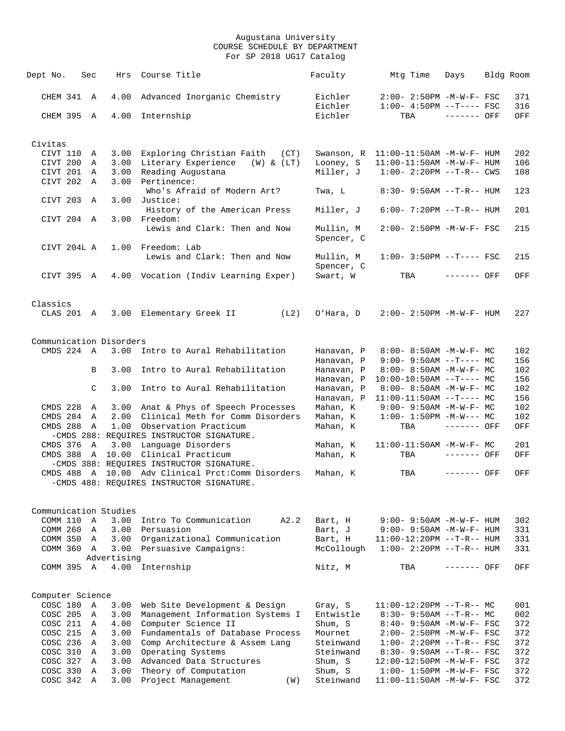| Dept No.                 | Sec          | Hrs                     | Course Title                                                                         | Faculty            | Mtg Time                             | Days         | Bldg Room  |
|--------------------------|--------------|-------------------------|--------------------------------------------------------------------------------------|--------------------|--------------------------------------|--------------|------------|
|                          |              |                         |                                                                                      |                    |                                      |              |            |
| CHEM 341 A               |              | 4.00                    | Advanced Inorganic Chemistry                                                         | Eichler            | 2:00- 2:50PM -M-W-F- FSC             |              | 371        |
|                          |              |                         |                                                                                      | Eichler            | $1:00-4:50PM --T---FSC$              |              | 316        |
| CHEM 395 A               |              | 4.00                    | Internship                                                                           | Eichler            | TBA                                  | $------$ OFF | OFF        |
|                          |              |                         |                                                                                      |                    |                                      |              |            |
| Civitas                  |              |                         |                                                                                      |                    |                                      |              |            |
| CIVT 110 A               |              | 3.00                    | Exploring Christian Faith (CT)                                                       |                    | Swanson, R 11:00-11:50AM -M-W-F- HUM |              | 202        |
| CIVT 200 A               |              | 3.00                    | Literary Experience<br>(W) & (LT)                                                    | Looney, S          | $11:00-11:50AM$ -M-W-F- HUM          |              | 106        |
| CIVT 201 A<br>CIVT 202 A |              | 3.00<br>3.00            | Reading Augustana<br>Pertinence:                                                     | Miller, J          | $1:00-2:20PM -T-R--CWS$              |              | 108        |
|                          |              |                         | Who's Afraid of Modern Art?                                                          | Twa, L             | $8:30 - 9:50AM -T-R-- HUM$           |              | 123        |
| CIVT 203 A               |              | 3.00                    | Justice:                                                                             |                    |                                      |              |            |
|                          |              |                         | History of the American Press                                                        | Miller, J          | $6:00 - 7:20PM -T-R--HUM$            |              | 201        |
| CIVT 204 A               |              | 3.00                    | Freedom:                                                                             |                    |                                      |              |            |
|                          |              |                         | Lewis and Clark: Then and Now                                                        | Mullin, M          | 2:00- 2:50PM -M-W-F- FSC             |              | 215        |
|                          |              |                         |                                                                                      | Spencer, C         |                                      |              |            |
| CIVT 204L A              |              | 1.00                    | Freedom: Lab                                                                         |                    |                                      |              |            |
|                          |              |                         | Lewis and Clark: Then and Now                                                        | Mullin, M          | $1:00-3:50PM -T---FSC$               |              | 215        |
|                          |              |                         |                                                                                      | Spencer, C         |                                      |              |            |
| CIVT 395 A               |              |                         | 4.00 Vocation (Indiv Learning Exper)                                                 | Swart, W           | TBA                                  | $------$ OFF | OFF        |
|                          |              |                         |                                                                                      |                    |                                      |              |            |
| Classics                 |              |                         |                                                                                      |                    |                                      |              |            |
| CLAS 201 A               |              |                         | 3.00 Elementary Greek II<br>(L2)                                                     | O'Hara, D          | $2:00 - 2:50PM -M-W-F - HUM$         |              | 227        |
|                          |              |                         |                                                                                      |                    |                                      |              |            |
|                          |              | Communication Disorders |                                                                                      |                    |                                      |              |            |
| $CMDS$ 224 A             |              | 3.00                    | Intro to Aural Rehabilitation                                                        | Hanavan, P         | 8:00- 8:50AM -M-W-F- MC              |              | 102        |
|                          |              |                         |                                                                                      | Hanavan, P         | $9:00-9:50AM --T---MC$               |              | 156        |
|                          | B            | 3.00                    | Intro to Aural Rehabilitation                                                        | Hanavan, P         | $8:00 - 8:50AM - M-W-F - MC$         |              | 102        |
|                          |              |                         |                                                                                      | Hanavan, P         | $10:00-10:50AM$ --T---- MC           |              | 156        |
|                          | C            | 3.00                    | Intro to Aural Rehabilitation                                                        | Hanavan, P         | $8:00 - 8:50AM - M - W - F - MC$     |              | 102        |
|                          |              |                         |                                                                                      | Hanavan, P         | $11:00-11:50AM$ --T---- MC           |              | 156        |
| CMDS 228 A               |              |                         | 3.00 Anat & Phys of Speech Processes                                                 | Mahan, K           | $9:00 - 9:50AM - M - W - F - MC$     |              | 102        |
| CMDS 284 A               |              | 2.00                    | Clinical Meth for Comm Disorders                                                     | Mahan, K           | $1:00 - 1:50PM -M-W--- MC$           |              | 102        |
| CMDS 288                 | A            | 1.00                    | Observation Practicum                                                                | Mahan, K           | TBA                                  | ------- OFF  | OFF        |
|                          |              |                         | -CMDS 288: REQUIRES INSTRUCTOR SIGNATURE.                                            |                    |                                      |              |            |
| CMDS 376 A               |              | 3.00                    | Language Disorders                                                                   | Mahan, K           | $11:00-11:50AM$ -M-W-F- MC           |              | 201        |
| CMDS 388                 | $\mathbb{A}$ | 10.00                   | Clinical Practicum                                                                   | Mahan, K           | TBA                                  | ------- OFF  | OFF        |
|                          |              |                         | -CMDS 388: REQUIRES INSTRUCTOR SIGNATURE.<br>10.00 Adv Clinical Prct: Comm Disorders |                    | TBA                                  |              |            |
| CMDS 488 A               |              |                         | -CMDS 488: REQUIRES INSTRUCTOR SIGNATURE.                                            | Mahan, K           |                                      | ------- OFF  | OFF        |
|                          |              |                         |                                                                                      |                    |                                      |              |            |
|                          |              |                         |                                                                                      |                    |                                      |              |            |
| COMM 110 A               |              | Communication Studies   | 3.00 Intro To Communication<br>A2.2                                                  |                    | 9:00- 9:50AM -M-W-F- HUM             |              |            |
| COMM 260 A               |              |                         | 3.00 Persuasion                                                                      | Bart, H<br>Bart, J | $9:00 - 9:50AM - M - W - F - HUM$    |              | 302<br>331 |
| COMM 350 A               |              | 3.00                    | Organizational Communication                                                         | Bart, H            | 11:00-12:20PM --T-R-- HUM            |              | 331        |
| COMM 360 A               |              | 3.00                    | Persuasive Campaigns:                                                                | McCollough         | $1:00 - 2:20PM -T-R--HUM$            |              | 331        |
|                          |              | Advertising             |                                                                                      |                    |                                      |              |            |
| COMM 395 A               |              |                         | 4.00 Internship                                                                      | Nitz, M            | TBA                                  | ------- OFF  | OFF        |
|                          |              |                         |                                                                                      |                    |                                      |              |            |
| Computer Science         |              |                         |                                                                                      |                    |                                      |              |            |
| COSC 180 A               |              | 3.00                    | Web Site Development & Design                                                        | Gray, S            | $11:00-12:20PM$ --T-R-- MC           |              | 001        |
| COSC 205 A               |              | 3.00                    | Management Information Systems I                                                     | Entwistle          | $8:30 - 9:50AM -T-R-- MC$            |              | 002        |
| COSC 211 A               |              | 4.00                    | Computer Science II                                                                  | Shum, S            | 8:40- 9:50AM -M-W-F- FSC             |              | 372        |
| COSC 215 A               |              | 3.00                    | Fundamentals of Database Process                                                     | Mournet            | $2:00 - 2:50PM -M-W-F - FSC$         |              | 372        |
| COSC 236 A               |              | 3.00                    | Comp Architecture & Assem Lang                                                       | Steinwand          | $1:00-2:20PM -T-R--FSC$              |              | 372        |
| COSC 310 A               |              | 3.00                    | Operating Systems                                                                    | Steinwand          | $8:30 - 9:50AM -T-R--FSC$            |              | 372        |
| COSC 327 A               |              | 3.00                    | Advanced Data Structures                                                             | Shum, S            | 12:00-12:50PM -M-W-F- FSC            |              | 372        |
| COSC 330 A               |              | 3.00                    | Theory of Computation                                                                | Shum, S            | $1:00 - 1:50PM - M - W - F - FSC$    |              | 372        |
| COSC 342 A               |              | 3.00                    | Project Management<br>(W)                                                            | Steinwand          | $11:00-11:50AM$ -M-W-F- FSC          |              | 372        |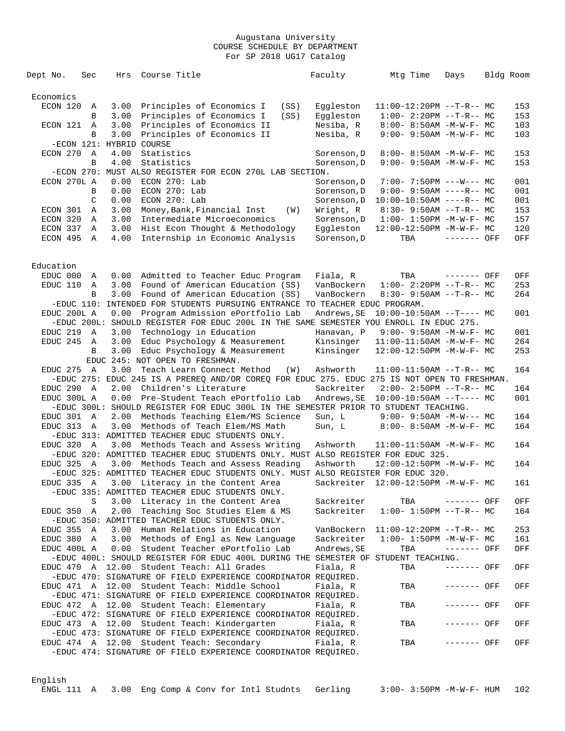| Dept No.    | Sec          | Hrs                      | Course Title                                                                                                               |      | Faculty     | Mtg Time                            | Days        | Bldg Room |
|-------------|--------------|--------------------------|----------------------------------------------------------------------------------------------------------------------------|------|-------------|-------------------------------------|-------------|-----------|
|             |              |                          |                                                                                                                            |      |             |                                     |             |           |
| Economics   |              |                          |                                                                                                                            |      |             |                                     |             |           |
| ECON 120    | Α            | 3.00                     | Principles of Economics I                                                                                                  | (SS) | Eqqleston   | $11:00-12:20PM$ --T-R-- MC          |             | 153       |
|             | B            | 3.00                     | Principles of Economics I                                                                                                  | (SS) | Eggleston   | $1:00-2:20PM -T-R--MC$              |             | 153       |
| ECON 121 A  |              | 3.00                     | Principles of Economics II                                                                                                 |      | Nesiba, R   | $8:00 - 8:50AM - M - W - F - MC$    |             | 103       |
|             | B            | 3.00                     | Principles of Economics II                                                                                                 |      | Nesiba, R   | 9:00- 9:50AM -M-W-F- MC             |             | 103       |
|             |              | -ECON 121: HYBRID COURSE |                                                                                                                            |      |             |                                     |             |           |
| ECON 270    | A            | 4.00                     | Statistics                                                                                                                 |      | Sorenson, D | $8:00 - 8:50AM - M - W - F - MC$    |             | 153       |
|             | B            | 4.00                     | Statistics<br>-ECON 270: MUST ALSO REGISTER FOR ECON 270L LAB SECTION.                                                     |      | Sorenson, D | 9:00- 9:50AM -M-W-F- MC             |             | 153       |
| ECON 270L A |              | 0.00                     | ECON 270: Lab                                                                                                              |      | Sorenson, D | $7:00 - 7:50PM$ ---W--- MC          |             | 001       |
|             | B            | 0.00                     | ECON 270: Lab                                                                                                              |      | Sorenson, D | 9:00- 9:50AM ----R-- MC             |             | 001       |
|             | C            | 0.00                     | $ECON$ 270: Lab                                                                                                            |      | Sorenson, D | $10:00-10:50AM$ ----R-- MC          |             | 001       |
| ECON 301    | Α            | 3.00                     | Money, Bank, Financial Inst                                                                                                | (W)  | Wright, R   | $8:30 - 9:50AM -T-R-- MC$           |             | 153       |
| ECON 320    | Α            | 3.00                     | Intermediate Microeconomics                                                                                                |      | Sorenson, D | $1:00 - 1:50PM - M - W - F - MC$    |             | 157       |
| ECON 337    | A            | 3.00                     | Hist Econ Thought & Methodology                                                                                            |      | Eggleston   | 12:00-12:50PM -M-W-F- MC            |             | 120       |
| ECON 495    | A            | 4.00                     | Internship in Economic Analysis                                                                                            |      | Sorenson, D | TBA                                 | ------- OFF | OFF       |
|             |              |                          |                                                                                                                            |      |             |                                     |             |           |
|             |              |                          |                                                                                                                            |      |             |                                     |             |           |
| Education   |              |                          |                                                                                                                            |      |             |                                     |             |           |
| EDUC 000    | Α            | 0.00                     | Admitted to Teacher Educ Program                                                                                           |      | Fiala, R    | TBA                                 | ------- OFF | OFF       |
| EDUC 110    | Α            | 3.00                     | Found of American Education (SS)                                                                                           |      | VanBockern  | $1:00-2:20PM --T-R--MC$             |             | 253       |
|             | B            | 3.00                     | Found of American Education (SS)                                                                                           |      | VanBockern  | $8:30 - 9:50AM -T-R-- MC$           |             | 264       |
| EDUC 200L A |              |                          | -EDUC 110: INTENDED FOR STUDENTS PURSUING ENTRANCE TO TEACHER EDUC PROGRAM.                                                |      |             | $10:00-10:50AM$ --T---- MC          |             |           |
|             |              | 0.00                     | Program Admission ePortfolio Lab<br>-EDUC 200L: SHOULD REGISTER FOR EDUC 200L IN THE SAME SEMESTER YOU ENROLL IN EDUC 275. |      | Andrews, SE |                                     |             | 001       |
| EDUC 219    | A            | 3.00                     | Technology in Education                                                                                                    |      | Hanavan, P  | $9:00 - 9:50AM - M - W - F - MC$    |             | 001       |
| EDUC 245    | $\mathbb A$  | 3.00                     | Educ Psychology & Measurement                                                                                              |      | Kinsinger   | $11:00-11:50AM$ -M-W-F- MC          |             | 264       |
|             | B            | 3.00                     | Educ Psychology & Measurement                                                                                              |      | Kinsinger   | 12:00-12:50PM -M-W-F- MC            |             | 253       |
|             |              |                          | EDUC 245: NOT OPEN TO FRESHMAN.                                                                                            |      |             |                                     |             |           |
| EDUC 275    | $\mathbb{A}$ | 3.00                     | Teach Learn Connect Method                                                                                                 | (W)  | Ashworth    | $11:00-11:50AM$ --T-R-- MC          |             | 164       |
|             |              |                          | -EDUC 275: EDUC 245 IS A PREREQ AND/OR COREQ FOR EDUC 275. EDUC 275 IS NOT OPEN TO FRESHMAN.                               |      |             |                                     |             |           |
| EDUC 290 A  |              | 2.00                     | Children's Literature                                                                                                      |      | Sackreiter  | $2:00 - 2:50PM -T-R-- MC$           |             | 164       |
| EDUC 300L A |              | 0.00                     | Pre-Student Teach ePortfolio Lab                                                                                           |      | Andrews, SE | $10:00-10:50AM$ --T---- MC          |             | 001       |
|             |              |                          | -EDUC 300L: SHOULD REGISTER FOR EDUC 300L IN THE SEMESTER PRIOR TO STUDENT TEACHING.                                       |      |             |                                     |             |           |
| EDUC 301 A  |              | 2.00                     | Methods Teaching Elem/MS Science                                                                                           |      | Sun, L      | $9:00 - 9:50AM - M-W--- MC$         |             | 164       |
| EDUC 313    | A            | 3.00                     | Methods of Teach Elem/MS Math                                                                                              |      | Sun, L      | $8:00 - 8:50AM - M - W - F - MC$    |             | 164       |
|             |              |                          | -EDUC 313: ADMITTED TEACHER EDUC STUDENTS ONLY.                                                                            |      |             |                                     |             |           |
| EDUC 320 A  |              | 3.00                     | Methods Teach and Assess Writing                                                                                           |      | Ashworth    | $11:00-11:50AM$ -M-W-F- MC          |             | 164       |
|             |              |                          | -EDUC 320: ADMITTED TEACHER EDUC STUDENTS ONLY. MUST ALSO REGISTER FOR EDUC 325.                                           |      |             |                                     |             |           |
| EDUC 325 A  |              | 3.00                     | Methods Teach and Assess Reading<br>-EDUC 325: ADMITTED TEACHER EDUC STUDENTS ONLY. MUST ALSO REGISTER FOR EDUC 320.       |      | Ashworth    | 12:00-12:50PM -M-W-F- MC            |             | 164       |
|             |              |                          | EDUC 335 A 3.00 Literacy in the Content Area                                                                               |      |             | Sackreiter 12:00-12:50PM -M-W-F- MC |             | 161       |
|             |              |                          | -EDUC 335: ADMITTED TEACHER EDUC STUDENTS ONLY.                                                                            |      |             |                                     |             |           |
|             | S            |                          | 3.00 Literacy in the Content Area                                                                                          |      | Sackreiter  | TBA ------- OFF                     |             | OFF       |
| EDUC 350 A  |              |                          | 2.00 Teaching Soc Studies Elem & MS                                                                                        |      | Sackreiter  | $1:00 - 1:50PM -T-R-- MC$           |             | 164       |
|             |              |                          | -EDUC 350: ADMITTED TEACHER EDUC STUDENTS ONLY.                                                                            |      |             |                                     |             |           |
| EDUC 355 A  |              |                          | 3.00 Human Relations in Education                                                                                          |      |             | VanBockern 11:00-12:20PM --T-R-- MC |             | 253       |
| EDUC 380 A  |              |                          | 3.00 Methods of Engl as New Language                                                                                       |      | Sackreiter  | $1:00 - 1:50PM - M - W - F - MC$    |             | 161       |
| EDUC 400L A |              |                          | 0.00 Student Teacher ePortfolio Lab                                                                                        |      | Andrews, SE | TBA                                 | ------- OFF | OFF       |
|             |              |                          | -EDUC 400L: SHOULD REGISTER FOR EDUC 400L DURING THE SEMESTER OF STUDENT TEACHING.                                         |      |             |                                     |             |           |
|             |              |                          | EDUC 470 A 12.00 Student Teach: All Grades                                                                                 |      | Fiala, R    | TBA                                 | ------- OFF | OFF       |
|             |              |                          | -EDUC 470: SIGNATURE OF FIELD EXPERIENCE COORDINATOR REQUIRED.                                                             |      |             |                                     |             |           |
|             |              |                          | EDUC 471 A 12.00 Student Teach: Middle School                                                                              |      | Fiala, R    | TBA                                 | ------- OFF | OFF       |
|             |              |                          | -EDUC 471: SIGNATURE OF FIELD EXPERIENCE COORDINATOR REQUIRED.                                                             |      |             |                                     |             |           |
|             |              |                          | EDUC 472 A 12.00 Student Teach: Elementary                                                                                 |      | Fiala, R    | TBA                                 | ------- OFF | OFF       |
|             |              |                          | -EDUC 472: SIGNATURE OF FIELD EXPERIENCE COORDINATOR REQUIRED.                                                             |      |             |                                     |             |           |
|             |              |                          | EDUC 473 A 12.00 Student Teach: Kindergarten                                                                               |      | Fiala, R    | TBA                                 | ------- OFF | OFF       |
|             |              |                          | -EDUC 473: SIGNATURE OF FIELD EXPERIENCE COORDINATOR REQUIRED.                                                             |      |             |                                     |             |           |
|             |              |                          | EDUC 474 A 12.00 Student Teach: Secondary                                                                                  |      | Fiala, R    | TBA                                 | ------- OFF | OFF       |
|             |              |                          | -EDUC 474: SIGNATURE OF FIELD EXPERIENCE COORDINATOR REQUIRED.                                                             |      |             |                                     |             |           |

# English

ENGL 111 A 3.00 Eng Comp & Conv for Intl Studnts Gerling 3:00- 3:50PM -M-W-F- HUM 102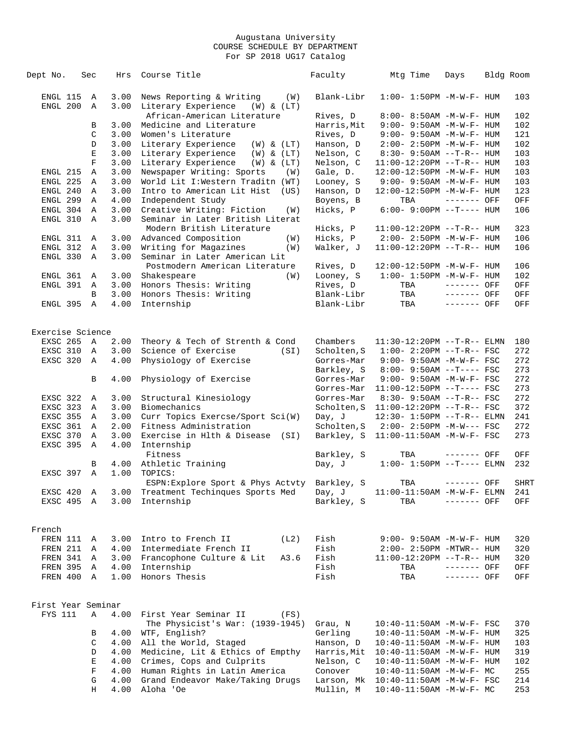| Dept No.             | Sec           | Hrs          | Course Title                                                         | Faculty              | Mtg Time                          | Days         | Bldg Room   |
|----------------------|---------------|--------------|----------------------------------------------------------------------|----------------------|-----------------------------------|--------------|-------------|
| ENGL 115<br>ENGL 200 | A<br>Α        | 3.00<br>3.00 | News Reporting & Writing<br>(W)<br>Literary Experience<br>(W) & (LT) | Blank-Libr           | $1:00 - 1:50PM -M-W-F - HUM$      |              | 103         |
|                      |               |              | African-American Literature                                          | Rives, D             | 8:00- 8:50AM -M-W-F- HUM          |              | 102         |
|                      | B             | 3.00         | Medicine and Literature                                              | Harris, Mit          | $9:00 - 9:50AM - M - W - F - HUM$ |              | 102         |
|                      | $\mathcal{C}$ | 3.00         | Women's Literature                                                   | Rives, D             | $9:00 - 9:50AM - M - W - F - HUM$ |              | 121         |
|                      | D             | 3.00         | Literary Experience<br>$(W)$ & $(LT)$                                | Hanson, D            | $2:00 - 2:50PM -M-W-F- HUM$       |              | 102         |
|                      | Е             | 3.00         | Literary Experience<br>$(W)$ & $(LT)$                                | Nelson, C            | $8:30 - 9:50AM -T-R-- HUM$        |              | 103         |
|                      | $\mathbf F$   | 3.00         | Literary Experience<br>$(W)$ & $(LT)$                                | Nelson, C            | $11:00-12:20PM$ --T-R-- HUM       |              | 103         |
| ENGL 215             | Α             | 3.00         | Newspaper Writing: Sports<br>(W)                                     | Gale, D.             | 12:00-12:50PM -M-W-F- HUM         |              | 103         |
| ENGL 225             | Α             | 3.00         | World Lit I: Western Traditn (WT)                                    | Looney, S            | 9:00- 9:50AM -M-W-F- HUM          |              | 103         |
| ENGL 240             | Α             | 3.00         | Intro to American Lit Hist (US)                                      | Hanson, D            | 12:00-12:50PM -M-W-F- HUM         |              | 123         |
| ENGL 299             | Α             | 4.00         | Independent Study                                                    | Boyens, B            | TBA                               | ------- OFF  | OFF         |
| ENGL 304             | Α             | 3.00         | Creative Writing: Fiction<br>(W)                                     | Hicks, P             | $6:00-9:00PM -T--- HUM$           |              | 106         |
| ENGL 310             | $\mathbb A$   | 3.00         | Seminar in Later British Literat<br>Modern British Literature        | Hicks, P             | $11:00-12:20PM$ --T-R-- HUM       |              | 323         |
| ENGL 311             | A             | 3.00         | Advanced Composition<br>(W)                                          | Hicks, P             | $2:00 - 2:50PM -M-W-F- HUM$       |              | 106         |
| ENGL 312             | A             | 3.00         | Writing for Magazines<br>(W)                                         | Walker, J            | $11:00-12:20PM$ --T-R-- HUM       |              | 106         |
| ENGL 330             | $\mathbb{A}$  | 3.00         | Seminar in Later American Lit                                        |                      |                                   |              |             |
|                      |               |              | Postmodern American Literature                                       | Rives, D             | 12:00-12:50PM -M-W-F- HUM         |              | 106         |
| ENGL 361             | A             | 3.00         | Shakespeare<br>(W)                                                   | Looney, S            | $1:00 - 1:50PM -M-W-F - HUM$      |              | 102         |
| ENGL 391             | A             | 3.00         | Honors Thesis: Writing                                               | Rives, D             | TBA                               | ------- OFF  | OFF         |
|                      | B             | 3.00         | Honors Thesis: Writing                                               | Blank-Libr           | TBA                               | ------- OFF  | OFF         |
| ENGL 395             | $\mathbb{A}$  | 4.00         | Internship                                                           | Blank-Libr           | TBA                               | ------- OFF  | OFF         |
| Exercise Science     |               |              |                                                                      |                      |                                   |              |             |
| EXSC 265 A           |               | 2.00         | Theory & Tech of Strenth & Cond                                      | Chambers             | 11:30-12:20PM --T-R-- ELMN        |              | 180         |
| EXSC 310             | $\mathbb{A}$  | 3.00         | Science of Exercise<br>(SI)                                          | Scholten, S          | $1:00-2:20PM -T-R--FSC$           |              | 272         |
| EXSC 320             | $\mathbb{A}$  | 4.00         | Physiology of Exercise                                               | Gorres-Mar           | $9:00 - 9:50AM - M-W-F - FSC$     |              | 272         |
|                      |               |              |                                                                      | Barkley, S           | $8:00 - 9:50AM -T--- FSC$         |              | 273         |
|                      | В             | 4.00         | Physiology of Exercise                                               | Gorres-Mar           | $9:00 - 9:50AM -M-W-F - FSC$      |              | 272         |
|                      |               |              |                                                                      | Gorres-Mar           | $11:00-12:50PM$ --T---- FSC       |              | 273         |
| EXSC 322             | Α             | 3.00         | Structural Kinesiology                                               | Gorres-Mar           | $8:30 - 9:50AM -T-R--FSC$         |              | 272         |
| EXSC 323             | A             | 3.00         | Biomechanics                                                         | Scholten, S          | $11:00-12:20PM$ --T-R-- FSC       |              | 372         |
| EXSC 355 A           |               | 3.00         | Curr Topics Exercse/Sport Sci(W)                                     | Day, J               | $12:30 - 1:50PM -T-R-- ELMN$      |              | 241         |
| EXSC 361             | A             | 2.00         | Fitness Administration                                               | Scholten, S          | $2:00 - 2:50PM -M-W--- FSC$       |              | 272         |
| EXSC 370             | $\mathbb{A}$  | 3.00         | Exercise in Hlth & Disease (SI)                                      | Barkley, S           | $11:00-11:50AM$ -M-W-F- FSC       |              | 273         |
| EXSC 395             | $\mathbb{A}$  | 4.00         | Internship<br>Fitness                                                | Barkley, S           | TBA                               | ------- OFF  | OFF         |
|                      | В             | 4.00         | Athletic Training                                                    | Day, J               | $1:00-1:50PM$ --T---- ELMN        |              | 232         |
| EXSC 397             | Α             | 1.00         | TOPICS:                                                              |                      |                                   |              |             |
|                      |               |              | ESPN: Explore Sport & Phys Actvty Barkley, S                         |                      | TBA                               | ------- OFF  | <b>SHRT</b> |
| EXSC 420             | Α             | 3.00<br>3.00 | Treatment Techinques Sports Med                                      | Day, J<br>Barkley, S | 11:00-11:50AM -M-W-F- ELMN<br>TBA | $------$ OFF | 241<br>OFF  |
| EXSC 495 A           |               |              | Internship                                                           |                      |                                   |              |             |
| French               |               |              |                                                                      |                      |                                   |              |             |
| FREN 111 A           |               | 3.00         | Intro to French II<br>(L2)                                           | Fish                 | 9:00- 9:50AM -M-W-F- HUM          |              | 320         |
| FREN 211             | A             | 4.00         | Intermediate French II                                               | Fish                 | $2:00 - 2:50PM - MTWR - - HUM$    |              | 320         |
| FREN 341             | A             |              | 3.00 Francophone Culture & Lit<br>A3.6                               | Fish                 | $11:00-12:20PM$ --T-R-- HUM       |              | 320         |
| FREN 395             | A             | 4.00         | Internship                                                           | Fish                 | TBA                               | ------- OFF  | OFF         |
| FREN 400 A           |               | 1.00         | Honors Thesis                                                        | Fish                 | TBA                               | ------- OFF  | OFF         |
| First Year Seminar   |               |              |                                                                      |                      |                                   |              |             |
| FYS 111              | Α             | 4.00         | First Year Seminar II<br>(FS)                                        |                      |                                   |              |             |
|                      |               |              | The Physicist's War: (1939-1945)                                     | Grau, N              | $10:40 - 11:50AM$ -M-W-F- FSC     |              | 370         |
|                      | В             | 4.00         | WTF, English?                                                        | Gerling              | 10:40-11:50AM -M-W-F- HUM         |              | 325         |
|                      | C             | 4.00         | All the World, Staged                                                | Hanson, D            | 10:40-11:50AM -M-W-F- HUM         |              | 103         |
|                      | D             | 4.00         | Medicine, Lit & Ethics of Empthy                                     | Harris, Mit          | $10:40 - 11:50$ AM $-M-W-F-$ HUM  |              | 319         |
|                      | E             |              | 4.00 Crimes, Cops and Culprits                                       | Nelson, C            | $10:40 - 11:50$ AM $-M-W-F-$ HUM  |              | 102         |
|                      | F             |              | 4.00 Human Rights in Latin America                                   | Conover              | $10:40-11:50AM$ -M-W-F- MC        |              | 255         |
|                      | G             | 4.00         | Grand Endeavor Make/Taking Drugs                                     | Larson, Mk           | 10:40-11:50AM -M-W-F- FSC         |              | 214         |
|                      | Н             | 4.00         | Aloha 'Oe                                                            | Mullin, M            | 10:40-11:50AM -M-W-F- MC          |              | 253         |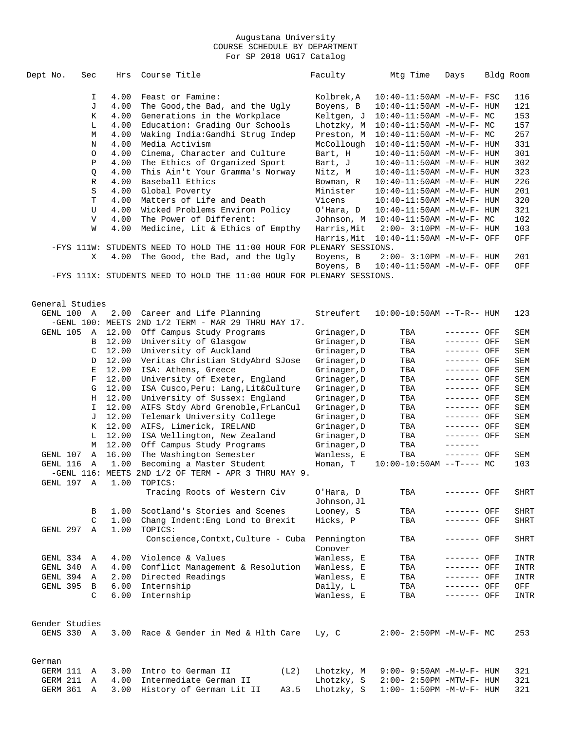| Dept No. |                 | Sec |                | Hrs   | Course Title                                                          | Faculty     | Mtg Time                          | Days         | Bldg Room   |
|----------|-----------------|-----|----------------|-------|-----------------------------------------------------------------------|-------------|-----------------------------------|--------------|-------------|
|          |                 |     | I              | 4.00  | Feast or Famine:                                                      | Kolbrek,A   | $10:40 - 11:50$ AM $-M-W-F-$ FSC  |              | 116         |
|          |                 |     | J              | 4.00  | The Good, the Bad, and the Ugly                                       | Boyens, B   | $10:40 - 11:50$ AM $-M-W-F-$ HUM  |              | 121         |
|          |                 |     | К              | 4.00  | Generations in the Workplace                                          | Keltgen, J  | $10:40-11:50AM$ -M-W-F- MC        |              | 153         |
|          |                 |     | L              | 4.00  | Education: Grading Our Schools                                        | Lhotzky, M  | $10:40 - 11:50AM$ -M-W-F- MC      |              | 157         |
|          |                 |     | M              | 4.00  | Waking India: Gandhi Strug Indep                                      | Preston, M  | $10:40-11:50AM$ -M-W-F- MC        |              | 257         |
|          |                 |     | N              | 4.00  | Media Activism                                                        | McCollough  | $10:40 - 11:50AM$ -M-W-F- HUM     |              | 331         |
|          |                 |     | O              | 4.00  | Cinema, Character and Culture                                         | Bart, H     | $10:40 - 11:50$ AM $-M-W-F-$ HUM  |              | 301         |
|          |                 |     | $\, {\bf P}$   | 4.00  |                                                                       |             |                                   |              | 302         |
|          |                 |     |                |       | The Ethics of Organized Sport                                         | Bart, J     | $10:40 - 11:50$ AM $-M-W-F-$ HUM  |              |             |
|          |                 |     | Q              | 4.00  | This Ain't Your Gramma's Norway                                       | Nitz, M     | 10:40-11:50AM -M-W-F- HUM         |              | 323         |
|          |                 |     | R              | 4.00  | Baseball Ethics                                                       | Bowman, R   | $10:40 - 11:50$ AM $-M-W-F-$ HUM  |              | 226         |
|          |                 |     | S              | 4.00  | Global Poverty                                                        | Minister    | 10:40-11:50AM -M-W-F- HUM         |              | 201         |
|          |                 |     | T              | 4.00  | Matters of Life and Death                                             | Vicens      | $10:40 - 11:50$ AM $-M-W-F-$ HUM  |              | 320         |
|          |                 |     | U              | 4.00  | Wicked Problems Environ Policy                                        | O'Hara, D   | $10:40 - 11:50$ AM $-M-W-F-$ HUM  |              | 321         |
|          |                 |     | V              | 4.00  | The Power of Different:                                               | Johnson, M  | $10:40-11:50AM$ -M-W-F- MC        |              | 102         |
|          |                 |     | W              | 4.00  | Medicine, Lit & Ethics of Empthy                                      | Harris, Mit | $2:00 - 3:10PM - M - W - F - HUM$ |              | 103         |
|          |                 |     |                |       |                                                                       | Harris, Mit | 10:40-11:50AM -M-W-F- OFF         |              | OFF         |
|          |                 |     |                |       | -FYS 111W: STUDENTS NEED TO HOLD THE 11:00 HOUR FOR PLENARY SESSIONS. |             |                                   |              |             |
|          |                 |     | X              | 4.00  | The Good, the Bad, and the Ugly                                       | Boyens, B   | 2:00- 3:10PM -M-W-F- HUM          |              | 201         |
|          |                 |     |                |       |                                                                       | Boyens, B   | 10:40-11:50AM -M-W-F- OFF         |              | OFF         |
|          |                 |     |                |       | -FYS 111X: STUDENTS NEED TO HOLD THE 11:00 HOUR FOR PLENARY SESSIONS. |             |                                   |              |             |
|          |                 |     |                |       |                                                                       |             |                                   |              |             |
|          | General Studies |     |                |       |                                                                       |             |                                   |              |             |
|          | GENL 100 A      |     |                | 2.00  | Career and Life Planning                                              | Streufert   | $10:00-10:50AM$ --T-R-- HUM       |              | 123         |
|          |                 |     |                |       | -GENL 100: MEETS 2ND 1/2 TERM - MAR 29 THRU MAY 17.                   |             |                                   |              |             |
|          | GENL 105        |     | $\mathbb{A}$   | 12.00 | Off Campus Study Programs                                             | Grinager,D  | TBA                               | ------- OFF  | SEM         |
|          |                 |     | B              | 12.00 | University of Glasgow                                                 | Grinager, D | TBA                               | ------- OFF  | SEM         |
|          |                 |     | C              | 12.00 | University of Auckland                                                | Grinager, D | TBA                               | ------- OFF  | SEM         |
|          |                 |     | D              | 12.00 | Veritas Christian StdyAbrd SJose                                      | Grinager, D | TBA                               | ------- OFF  | SEM         |
|          |                 |     | $\mathbf E$    | 12.00 | ISA: Athens, Greece                                                   | Grinager, D | TBA                               | ------- OFF  | SEM         |
|          |                 |     | $\mathbf F$    | 12.00 | University of Exeter, England                                         | Grinager, D | TBA                               | ------- OFF  | SEM         |
|          |                 |     | G              | 12.00 | ISA Cusco, Peru: Lang, Lit&Culture                                    | Grinager,D  | TBA                               | ------- OFF  | SEM         |
|          |                 |     | Н              | 12.00 | University of Sussex: England                                         | Grinager, D | TBA                               | ------- OFF  | SEM         |
|          |                 |     | I.             | 12.00 | AIFS Stdy Abrd Grenoble, FrLanCul                                     | Grinager, D | TBA                               | ------- OFF  | SEM         |
|          |                 |     | J              | 12.00 | Telemark University College                                           | Grinager, D | TBA                               | ------- OFF  | SEM         |
|          |                 |     | К              | 12.00 | AIFS, Limerick, IRELAND                                               | Grinager, D | TBA                               | ------- OFF  | SEM         |
|          |                 |     | L              | 12.00 | ISA Wellington, New Zealand                                           | Grinager, D | TBA                               | ------- OFF  | SEM         |
|          |                 |     | M              | 12.00 | Off Campus Study Programs                                             | Grinager,D  | TBA                               | -------      |             |
|          | GENL 107        |     | Α              | 16.00 | The Washington Semester                                               | Wanless, E  | TBA                               | ------- OFF  | SEM         |
|          | GENL 116        |     | A              | 1.00  | Becoming a Master Student                                             | Homan, T    | $10:00-10:50AM$ --T---- MC        |              | 103         |
|          |                 |     |                |       | $-GENL$ 116: MEETS 2ND 1/2 OF TERM - APR 3 THRU MAY 9.                |             |                                   |              |             |
|          | GENL 197 A      |     |                | 1.00  | TOPICS:                                                               |             |                                   |              |             |
|          |                 |     |                |       | Tracing Roots of Western Civ                                          |             | TBA                               | ------- OFF  |             |
|          |                 |     |                |       |                                                                       | O'Hara, D   |                                   |              | <b>SHRT</b> |
|          |                 |     |                |       |                                                                       | Johnson,Jl  |                                   |              |             |
|          |                 |     | В              | 1.00  | Scotland's Stories and Scenes                                         | Looney, S   | TBA                               | ------- OFF  | SHRT        |
|          |                 |     | $\mathcal{C}$  | 1.00  | Chang Indent: Eng Lond to Brexit                                      | Hicks, P    | TBA                               | ------- OFF  | SHRT        |
|          | GENL 297        |     | $\overline{A}$ | 1.00  | TOPICS:                                                               |             |                                   |              |             |
|          |                 |     |                |       | Conscience, Contxt, Culture - Cuba                                    | Pennington  | TBA                               | ------- OFF  | <b>SHRT</b> |
|          |                 |     |                |       |                                                                       | Conover     |                                   |              |             |
|          | GENL 334 A      |     |                |       | 4.00 Violence & Values                                                | Wanless, E  | TBA                               | ------- OFF  | INTR        |
|          | GENL 340        |     | A              | 4.00  | Conflict Management & Resolution                                      | Wanless, E  | TBA                               | ------- OFF  | INTR        |
|          | GENL 394 A      |     |                | 2.00  | Directed Readings                                                     | Wanless, E  | TBA                               | ------- OFF  | INTR        |
|          | GENL 395        |     | B              | 6.00  | Internship                                                            | Daily, L    | TBA                               | $------$ OFF | OFF         |
|          |                 |     | C              | 6.00  | Internship                                                            | Wanless, E  | TBA                               | ------- OFF  | INTR        |
|          |                 |     |                |       |                                                                       |             |                                   |              |             |
|          | Gender Studies  |     |                |       |                                                                       |             |                                   |              |             |
|          | GENS 330 A      |     |                | 3.00  | Race & Gender in Med & Hlth Care                                      | Ly, C       | $2:00 - 2:50PM -M-W-F - MC$       |              | 253         |
|          |                 |     |                |       |                                                                       |             |                                   |              |             |
| German   |                 |     |                |       |                                                                       |             |                                   |              |             |
|          | GERM 111        |     | Α              | 3.00  | Intro to German II<br>(L2)                                            | Lhotzky, M  | $9:00 - 9:50AM - M - W - F - HUM$ |              | 321         |
|          | GERM 211        |     | Α              | 4.00  | Intermediate German II                                                | Lhotzky, S  | $2:00 - 2:50PM - MTW - F - HUM$   |              | 321         |
|          | GERM 361 A      |     |                | 3.00  | History of German Lit II<br>A3.5                                      | Lhotzky, S  | $1:00 - 1:50PM - M - W - F - HUM$ |              | 321         |
|          |                 |     |                |       |                                                                       |             |                                   |              |             |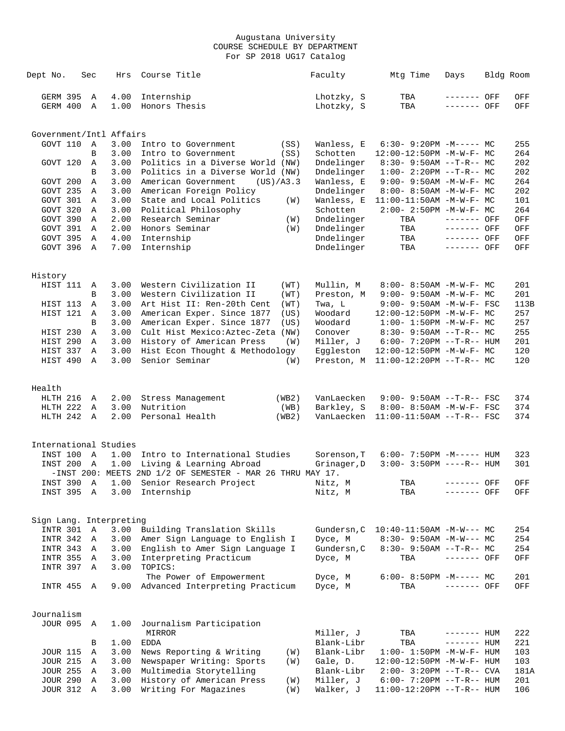| Dept No.                | Sec         | Hrs          | Course Title                                                    |     | Faculty                  | Mtg Time                                            | Days         | Bldg Room  |
|-------------------------|-------------|--------------|-----------------------------------------------------------------|-----|--------------------------|-----------------------------------------------------|--------------|------------|
| GERM 395                | A           | 4.00         | Internship                                                      |     | Lhotzky, S               | TBA                                                 | ------- OFF  | OFF        |
| GERM 400                | Α           | 1.00         | Honors Thesis                                                   |     | Lhotzky, S               | TBA                                                 | ------- OFF  | OFF        |
|                         |             |              |                                                                 |     |                          |                                                     |              |            |
| Government/Intl Affairs |             |              |                                                                 |     |                          |                                                     |              |            |
| GOVT 110                | Α<br>B      | 3.00<br>3.00 | Intro to Government<br>(SS)                                     |     | Wanless, E<br>Schotten   | $6:30-9:20PM -M--- MC$                              |              | 255<br>264 |
| GOVT 120                |             | 3.00         | Intro to Government<br>(SS)<br>Politics in a Diverse World (NW) |     |                          | 12:00-12:50PM -M-W-F- MC                            |              | 202        |
|                         | Α<br>B      |              | Politics in a Diverse World (NW)                                |     | Dndelinger               | $8:30 - 9:50AM -T-R-- MC$<br>$1:00-2:20PM -T-R--MC$ |              | 202        |
| GOVT 200                | Α           | 3.00<br>3.00 | American Government<br>(US)/A3.3                                |     | Dndelinger<br>Wanless, E | $9:00 - 9:50AM - M - W - F - MC$                    |              | 264        |
| GOVT 235                | Α           | 3.00         | American Foreign Policy                                         |     | Dndelinger               | 8:00- 8:50AM -M-W-F- MC                             |              | 202        |
| GOVT 301                | Α           | 3.00         | State and Local Politics                                        |     | Wanless, E               | 11:00-11:50AM -M-W-F- MC                            |              | 101        |
| GOVT 320                | Α           | 3.00         | Political Philosophy                                            | (W) | Schotten                 | $2:00 - 2:50PM -M-W-F - MC$                         |              | 264        |
| GOVT 390                | Α           | 2.00         | Research Seminar                                                | (W) | Dndelinger               | TBA                                                 | ------- OFF  | OFF        |
| GOVT 391                | A           | 2.00         | Honors Seminar                                                  | (W) | Dndelinger               | TBA                                                 | ------- OFF  | OFF        |
| GOVT 395                | Α           | 4.00         | Internship                                                      |     | Dndelinger               | TBA                                                 | ------- OFF  | OFF        |
| GOVT 396                | $\mathbb A$ | 7.00         | Internship                                                      |     | Dndelinger               | TBA                                                 | ------- OFF  | OFF        |
|                         |             |              |                                                                 |     |                          |                                                     |              |            |
| History                 |             |              |                                                                 |     |                          |                                                     |              |            |
| HIST 111                | Α           | 3.00         | Western Civilization II<br>(WT)                                 |     | Mullin, M                | 8:00- 8:50AM -M-W-F- MC                             |              | 201        |
|                         | B           | 3.00         | Western Civilization II<br>(WT)                                 |     | Preston, M               | $9:00 - 9:50AM - M-W-F - MC$                        |              | 201        |
| HIST 113                | Α           | 3.00         | Art Hist II: Ren-20th Cent<br>(WT)                              |     | Twa, L                   | $9:00 - 9:50AM - M-W-F - FSC$                       |              | 113B       |
| HIST 121                | Α           | 3.00         | American Exper. Since 1877<br>(US)                              |     | Woodard                  | $12:00-12:50PM -M-W-F-MC$                           |              | 257        |
|                         | B           | 3.00         | American Exper. Since 1877<br>(US)                              |     | Woodard                  | $1:00 - 1:50PM - M - W - F - MC$                    |              | 257        |
| HIST 230                | Α           | 3.00         | Cult Hist Mexico: Aztec-Zeta (NW)                               |     | Conover                  | $8:30 - 9:50AM -T-R-- MC$                           |              | 255        |
| HIST 290                | Α           | 3.00         | History of American Press                                       | (W) | Miller, J                | $6:00 - 7:20PM -T-R-- HUM$                          |              | 201        |
| HIST 337                | Α           | 3.00         | Hist Econ Thought & Methodology                                 |     | Eqqleston                | 12:00-12:50PM -M-W-F- MC                            |              | 120        |
| HIST 490                | Α           | 3.00         | Senior Seminar                                                  | (W) | Preston, M               | $11:00-12:20PM$ --T-R-- MC                          |              | 120        |
|                         |             |              |                                                                 |     |                          |                                                     |              |            |
| Health                  |             |              |                                                                 |     |                          |                                                     |              |            |
| HLTH 216                | Α           | 2.00         | Stress Management<br>(WB2)                                      |     | VanLaecken               | $9:00 - 9:50AM -T-R--FSC$                           |              | 374        |
| HLTH 222<br>HLTH 242 A  | A           | 3.00<br>2.00 | Nutrition<br>(WB)                                               |     | Barkley, S               | 8:00- 8:50AM -M-W-F- FSC                            |              | 374<br>374 |
|                         |             |              | Personal Health<br>(WB2)                                        |     | VanLaecken               | $11:00-11:50AM$ --T-R-- FSC                         |              |            |
| International Studies   |             |              |                                                                 |     |                          |                                                     |              |            |
| INST 100                | Α           | 1.00         | Intro to International Studies                                  |     | Sorenson, T              | $6:00 - 7:50PM -M--- HUM$                           |              | 323        |
| INST 200                | A           | 1.00         | Living & Learning Abroad                                        |     | Grinager, D              | $3:00 - 3:50PM$ ----R-- HUM                         |              | 301        |
|                         |             |              | -INST 200: MEETS 2ND $1/2$ OF SEMESTER - MAR 26 THRU MAY 17.    |     |                          |                                                     |              |            |
|                         |             |              | INST 390 A 1.00 Senior Research Project                         |     | Nitz, M                  | TBA                                                 | ------- OFF  | OFF        |
| INST 395 A              |             | 3.00         | Internship                                                      |     | Nitz, M                  | TBA                                                 | ------- OFF  | OFF        |
|                         |             |              |                                                                 |     |                          |                                                     |              |            |
| Sign Lang. Interpreting |             |              |                                                                 |     |                          |                                                     |              |            |
| INTR 301 A              |             | 3.00         | Building Translation Skills                                     |     | Gundersn, C              | $10:40-11:50AM$ $-M-W---$ MC                        |              | 254        |
| INTR 342                | A           | 3.00         | Amer Sign Language to English I                                 |     | Dyce, M                  | $8:30 - 9:50AM - M-W--- MC$                         |              | 254        |
| INTR 343                | Α           | 3.00         | English to Amer Sign Language I                                 |     | Gundersn, C              | $8:30-9:50AM --T-R--MC$                             |              | 254        |
| <b>INTR 355</b>         | Α           | 3.00         | Interpreting Practicum                                          |     | Dyce, M                  | TBA                                                 | ------- OFF  | OFF        |
| INTR 397                | Α           | 3.00         | TOPICS:                                                         |     |                          |                                                     |              |            |
|                         |             |              | The Power of Empowerment                                        |     | Dyce, M                  | $6:00-8:50PM -M--- MC$                              |              | 201        |
| INTR 455 A              |             | 9.00         | Advanced Interpreting Practicum                                 |     | Dyce, M                  | TBA                                                 | ------- OFF  | OFF        |
| Journalism              |             |              |                                                                 |     |                          |                                                     |              |            |
| <b>JOUR 095</b>         | A           | 1.00         | Journalism Participation                                        |     |                          |                                                     |              |            |
|                         |             |              | MIRROR                                                          |     | Miller, J                | TBA                                                 | $------$ HUM | 222        |
|                         | В           | 1.00         | <b>EDDA</b>                                                     |     | Blank-Libr               | TBA                                                 | $------$ HUM | 221        |
| <b>JOUR 115</b>         | Α           | 3.00         | News Reporting & Writing                                        | (W) | Blank-Libr               | $1:00 - 1:50PM - M - W - F - HUM$                   |              | 103        |
| <b>JOUR 215</b>         | Α           | 3.00         | Newspaper Writing: Sports                                       | (W) | Gale, D.                 | 12:00-12:50PM -M-W-F- HUM                           |              | 103        |
| <b>JOUR 255</b>         | Α           | 3.00         | Multimedia Storytelling                                         |     | Blank-Libr               | $2:00 - 3:20PM -T-R--CVA$                           |              | 181A       |
| <b>JOUR 290</b>         | Α           | 3.00         | History of American Press                                       | (W) | Miller, J                | $6:00 - 7:20PM -T-R--HUM$                           |              | 201        |
| <b>JOUR 312</b>         | Α           | 3.00         | Writing For Magazines                                           | (W) | Walker, J                | $11:00-12:20PM$ --T-R-- HUM                         |              | 106        |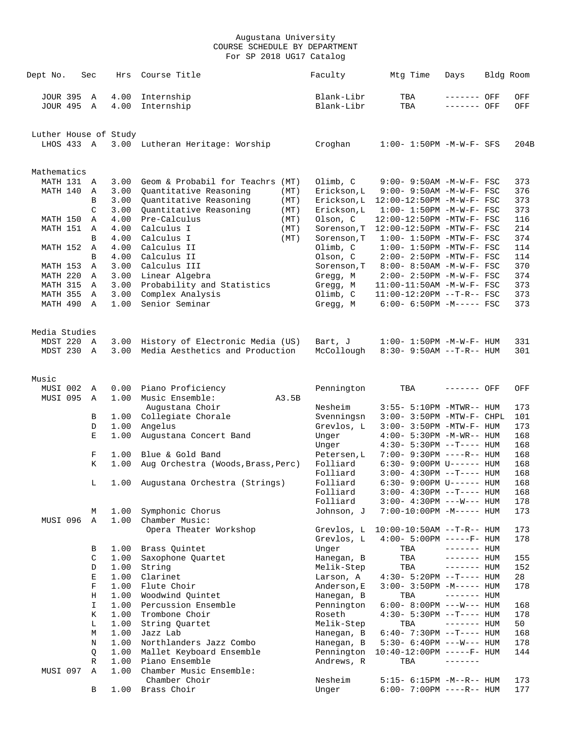| Dept No.              | Sec            | Hrs          | Course Title                                | Faculty                 | Mtg Time                                                       | Days         | Bldg Room  |
|-----------------------|----------------|--------------|---------------------------------------------|-------------------------|----------------------------------------------------------------|--------------|------------|
| JOUR 395 A            |                | 4.00         | Internship                                  | Blank-Libr              | TBA                                                            | ------- OFF  | OFF        |
| <b>JOUR 495</b>       | $\overline{A}$ | 4.00         | Internship                                  | Blank-Libr              | TBA                                                            | ------- OFF  | OFF        |
| Luther House of Study |                |              |                                             |                         |                                                                |              |            |
| LHOS 433 A            |                |              | 3.00 Lutheran Heritage: Worship             | Croghan                 | $1:00 - 1:50PM - M - W - F - SFS$                              |              | 204B       |
| Mathematics           |                |              |                                             |                         |                                                                |              |            |
| MATH 131 A            |                | 3.00         | Geom & Probabil for Teachrs (MT)            | Olimb, C                | 9:00- 9:50AM -M-W-F- FSC                                       |              | 373        |
| MATH 140              | A              | 3.00         | Quantitative Reasoning<br>(MT)              | Erickson, L             | $9:00 - 9:50AM - M - W - F - FSC$                              |              | 376        |
|                       | B              | 3.00         | Quantitative Reasoning<br>(MT)              | Erickson, L             | 12:00-12:50PM -M-W-F- FSC                                      |              | 373        |
|                       | $\mathcal{C}$  | 3.00         | Quantitative Reasoning<br>(MT)              | Erickson, L             | $1:00 - 1:50PM -M-W-F - FSC$                                   |              | 373<br>116 |
| MATH 150<br>MATH 151  | Α<br>Α         | 4.00<br>4.00 | Pre-Calculus<br>(MT)<br>Calculus I<br>(MT)  | Olson, C<br>Sorenson, T | 12:00-12:50PM -MTW-F- FSC<br>12:00-12:50PM -MTW-F- FSC         |              | 214        |
|                       | B              | 4.00         | Calculus I<br>(MT)                          | Sorenson, T             | $1:00-1:50PM -MTW-F-FSC$                                       |              | 374        |
| MATH 152              | $\mathbb{A}$   | 4.00         | Calculus II                                 | Olimb, C                | $1:00-1:50PM -MTW-F-FSC$                                       |              | 114        |
|                       | B              | 4.00         | Calculus II                                 | Olson, C                | 2:00- 2:50PM -MTW-F- FSC                                       |              | 114        |
| MATH 153              | A              | 3.00         | Calculus III                                | Sorenson, T             | 8:00- 8:50AM -M-W-F- FSC                                       |              | 370        |
| MATH 220              | A              | 3.00         | Linear Algebra                              | Gregg, M                | $2:00 - 2:50PM -M-W-F - FSC$                                   |              | 374        |
| MATH 315              | A              | 3.00         | Probability and Statistics                  | Gregg, M                | 11:00-11:50AM -M-W-F- FSC                                      |              | 373        |
| <b>MATH 355</b>       | Α              | 3.00         | Complex Analysis                            | Olimb, C                | 11:00-12:20PM --T-R-- FSC                                      |              | 373        |
| MATH 490              | A              | 1.00         | Senior Seminar                              | Gregg, M                | $6:00 - 6:50PM -M--- FSC$                                      |              | 373        |
| Media Studies         |                |              |                                             |                         |                                                                |              |            |
| MDST 220 A            |                | 3.00         | History of Electronic Media (US)            | Bart, J                 | $1:00 - 1:50PM -M-W-F- HUM$                                    |              | 331        |
| MDST 230 A            |                | 3.00         | Media Aesthetics and Production             | McCollough              | $8:30 - 9:50AM -T-R-- HUM$                                     |              | 301        |
| Music                 |                |              |                                             |                         |                                                                |              |            |
| MUSI 002              | Α              | 0.00         | Piano Proficiency                           | Pennington              | TBA                                                            | ------- OFF  | OFF        |
| MUSI 095              | $\mathbb A$    | 1.00         | Music Ensemble:<br>A3.5B<br>Augustana Choir | Nesheim                 | 3:55- 5:10PM -MTWR-- HUM                                       |              | 173        |
|                       | В              | 1.00         | Collegiate Chorale                          | Svenningsn              | 3:00- 3:50PM -MTW-F- CHPL                                      |              | 101        |
|                       | D              | 1.00         | Angelus                                     | Grevlos, L              | 3:00- 3:50PM -MTW-F- HUM                                       |              | 173        |
|                       | $\mathbf E$    | 1.00         | Augustana Concert Band                      | Unger                   | $4:00 - 5:30PM -M-WR-- HUM$                                    |              | 168        |
|                       |                |              |                                             | Unger                   | $4:30 - 5:30PM -T--- HUM$                                      |              | 168        |
|                       | F<br>K         | 1.00         | Blue & Gold Band                            | Petersen, L             | 7:00- 9:30PM ----R-- HUM                                       |              | 168        |
|                       |                | 1.00         | Aug Orchestra (Woods, Brass, Perc)          | Folliard<br>Folliard    | $6:30 - 9:00 \text{PM U----- HUM}$<br>$3:00-4:30PM --T--- HUM$ |              | 168<br>168 |
|                       | L              | 1.00         | Augustana Orchestra (Strings)               | Folliard                | 6:30- 9:00PM U------ HUM                                       |              | 168        |
|                       |                |              |                                             | Folliard                | $3:00-4:30PM -T--- HUM$                                        |              | 168        |
|                       |                |              |                                             | Folliard                | $3:00-4:30PM$ ---W--- HUM                                      |              | 178        |
| MUSI 096              | М<br>Α         | 1.00<br>1.00 | Symphonic Chorus<br>Chamber Music:          | Johnson, J              | 7:00-10:00PM -M----- HUM                                       |              | 173        |
|                       |                |              | Opera Theater Workshop                      | Grevlos, L              | $10:00-10:50AM$ --T-R-- HUM                                    |              | 173        |
|                       |                |              |                                             | Grevlos, L              | $4:00 - 5:00PM$ -----F- HUM                                    |              | 178        |
|                       | В              | 1.00         | Brass Quintet                               | Unger                   | TBA                                                            | $------$ HUM |            |
|                       | C              | 1.00         | Saxophone Quartet                           | Hanegan, B              | TBA                                                            | $------$ HUM | 155        |
|                       | D              | 1.00         | String                                      | Melik-Step              | TBA                                                            | $------$ HUM | 152        |
|                       | Е              | 1.00         | Clarinet                                    | Larson, A               | $4:30 - 5:20PM -T--- HUM$                                      |              | 28         |
|                       | $\mathbf F$    | 1.00         | Flute Choir                                 | Anderson, E             | $3:00 - 3:50PM -M-----$ HUM                                    |              | 178        |
|                       | Η              | 1.00         | Woodwind Ouintet                            | Hanegan, B              | TBA                                                            | $------$ HUM |            |
|                       | I<br>Κ         | 1.00<br>1.00 | Percussion Ensemble<br>Trombone Choir       | Pennington<br>Roseth    | $6:00 - 8:00PM$ ---W--- HUM<br>$4:30 - 5:30PM -T--- HUM$       |              | 168<br>178 |
|                       | L              | 1.00         | String Quartet                              | Melik-Step              | TBA                                                            | $------$ HUM | 50         |
|                       | М              | 1.00         | Jazz Lab                                    | Hanegan, B              | $6:40 - 7:30PM -T--- HUM$                                      |              | 168        |
|                       | Ν              | 1.00         | Northlanders Jazz Combo                     | Hanegan, B              | 5:30- 6:40PM ---W--- HUM                                       |              | 178        |
|                       | Q              | 1.00         | Mallet Keyboard Ensemble                    | Pennington              | $10:40-12:00PM$ -----F- HUM                                    |              | 144        |
|                       | R              | 1.00         | Piano Ensemble                              | Andrews, R              | TBA                                                            |              |            |
| MUSI 097              | Α              | 1.00         | Chamber Music Ensemble:                     |                         |                                                                |              |            |
|                       | B              | 1.00         | Chamber Choir<br>Brass Choir                | Nesheim<br>Unger        | 5:15- 6:15PM -M--R-- HUM<br>$6:00-7:00PM$ ----R-- HUM          |              | 173<br>177 |
|                       |                |              |                                             |                         |                                                                |              |            |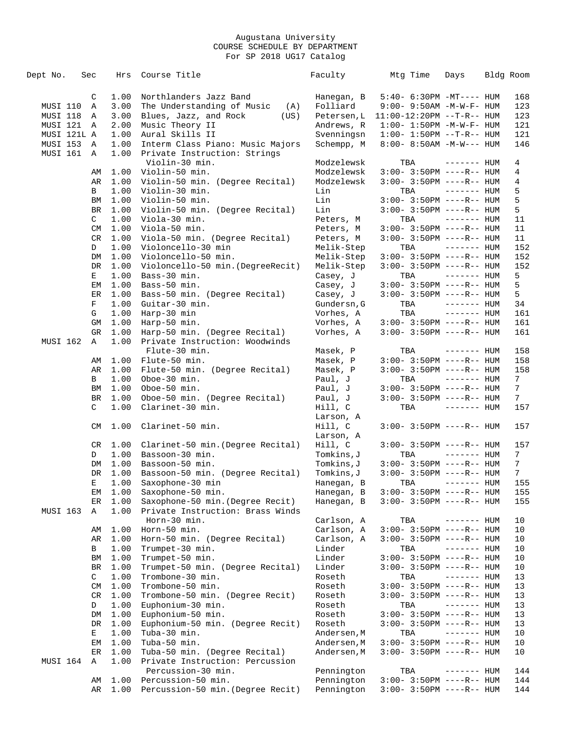| Dept No.        | Sec      | Hrs          | Course Title                                          | Faculty                   | Mtg Time                                                 | Days         | Bldg Room       |
|-----------------|----------|--------------|-------------------------------------------------------|---------------------------|----------------------------------------------------------|--------------|-----------------|
|                 | C        | 1.00         | Northlanders Jazz Band                                | Hanegan, B                | $5:40-6:30PM -MT--- HUM$                                 |              | 168             |
| MUSI 110        | Α        | 3.00         | The Understanding of Music<br>(A)                     | Folliard                  | 9:00- 9:50AM -M-W-F- HUM                                 |              | 123             |
| MUSI 118        | Α        | 3.00         | Blues, Jazz, and Rock<br>(US)                         | Petersen, L               | $11:00-12:20PM -T-R--HUM$                                |              | 123             |
| MUSI 121 A      |          | 2.00         | Music Theory II                                       | Andrews, R                | $1:00 - 1:50PM - M - W - F - HUM$                        |              | 121             |
| MUSI 121L A     |          | 1.00         | Aural Skills II                                       | Svenningsn                | $1:00 - 1:50PM -T-R-- HUM$                               |              | 121             |
| MUSI 153        | A        | 1.00         | Interm Class Piano: Music Majors                      | Schempp, M                | $8:00 - 8:50AM - M-W--- HUM$                             |              | 146             |
| MUSI 161        | A        | 1.00         | Private Instruction: Strings                          |                           |                                                          |              |                 |
|                 |          |              | Violin-30 min.                                        | Modzelewsk                | TBA                                                      | $------$ HUM | 4               |
|                 | AΜ       | 1.00         | Violin-50 min.                                        | Modzelewsk                | $3:00-3:50PM$ ----R-- HUM                                |              | 4               |
|                 | AR       | 1.00         | Violin-50 min. (Degree Recital)                       | Modzelewsk                | $3:00-3:50PM$ ----R-- HUM                                |              | 4               |
|                 | B        | 1.00         | Violin-30 min.                                        | Lin                       | TBA                                                      | $------$ HUM | 5               |
|                 | ΒM       | 1.00         | Violin-50 min.                                        | Lin                       | $3:00 - 3:50PM$ ----R-- HUM                              |              | 5               |
|                 | BR       | 1.00         | Violin-50 min. (Degree Recital)                       | Lin                       | $3:00-3:50PM$ ----R-- HUM                                |              | 5               |
|                 | C        | 1.00         | Viola-30 min.                                         | Peters, M                 | TBA                                                      | $------$ HUM | 11              |
|                 | CM       | 1.00         | Viola-50 min.                                         | Peters, M                 | $3:00-3:50PM$ ----R-- HUM                                |              | 11              |
|                 | CR       | 1.00         | Viola-50 min. (Degree Recital)                        | Peters, M                 | $3:00-3:50PM$ ----R-- HUM                                |              | 11              |
|                 | D        | 1.00         | Violoncello-30 min<br>Violoncello-50 min.             | Melik-Step                | TBA                                                      | ------- HUM  | 152             |
|                 | DM<br>DR | 1.00<br>1.00 | Violoncello-50 min. (DegreeRecit)                     | Melik-Step<br>Melik-Step  | $3:00-3:50PM$ ----R-- HUM<br>$3:00 - 3:50PM$ ----R-- HUM |              | 152<br>152      |
|                 | Е        | 1.00         | Bass-30 min.                                          | Casey, J                  | TBA                                                      | ------- HUM  | 5               |
|                 | EМ       | 1.00         | Bass-50 min.                                          |                           | $3:00 - 3:50PM$ ----R-- HUM                              |              | 5               |
|                 | ER       | 1.00         | Bass-50 min. (Degree Recital)                         | Casey, J<br>Casey, J      | $3:00 - 3:50PM$ ----R-- HUM                              |              | 5               |
|                 | F        | 1.00         | Guitar-30 min.                                        | Gundersn, G               | TBA                                                      | $------$ HUM | 34              |
|                 | G        | 1.00         | Harp-30 min                                           | Vorhes, A                 | TBA                                                      | $------$ HUM | 161             |
|                 | GM       | 1.00         | Harp-50 min.                                          | Vorhes, A                 | $3:00-3:50PM$ ----R-- HUM                                |              | 161             |
|                 | GR       | 1.00         | Harp-50 min. (Degree Recital)                         | Vorhes, A                 | $3:00-3:50PM$ ----R-- HUM                                |              | 161             |
| MUSI 162        | Α        | 1.00         | Private Instruction: Woodwinds                        |                           |                                                          |              |                 |
|                 |          |              | Flute-30 min.                                         | Masek, P                  | TBA                                                      | $------$ HUM | 158             |
|                 | AΜ       | 1.00         | Flute-50 min.                                         | Masek, P                  | $3:00-3:50PM$ ----R-- HUM                                |              | 158             |
|                 | AR       | 1.00         | Flute-50 min. (Degree Recital)                        | Masek, P                  | $3:00-3:50PM$ ----R-- HUM                                |              | 158             |
|                 | B        | 1.00         | Oboe-30 min.                                          | Paul, J                   | TBA                                                      | $------$ HUM | 7               |
|                 | ΒM       | 1.00         | Oboe-50 min.                                          | Paul, J                   | $3:00-3:50PM$ ----R-- HUM                                |              | 7               |
|                 | BR       | 1.00         | Oboe-50 min. (Degree Recital)                         | Paul, J                   | $3:00 - 3:50PM$ ----R-- HUM                              |              | 7 <sup>7</sup>  |
|                 | C        | 1.00         | Clarinet-30 min.                                      | Hill, C                   | TBA                                                      | $------$ HUM | 157             |
|                 | CM       | 1.00         | Clarinet-50 min.                                      | Larson, A<br>Hill, C      | $3:00-3:50PM$ ----R-- HUM                                |              | 157             |
|                 |          |              |                                                       | Larson, A                 |                                                          |              |                 |
|                 | CR       | 1.00         | Clarinet-50 min. (Degree Recital)                     | Hill, C                   | $3:00-3:50PM$ ----R-- HUM                                |              | 157             |
|                 | D        | 1.00         | Bassoon-30 min.                                       | Tomkins,J                 | TBA                                                      | $------$ HUM | $7\phantom{.}$  |
|                 | DM       | 1.00         | Bassoon-50 min.                                       | Tomkins, J                | $3:00 - 3:50PM$ ----R-- HUM                              |              | $7\phantom{.0}$ |
|                 | DR       | 1.00         | Bassoon-50 min. (Degree Recital)                      | Tomkins,J                 | $3:00 - 3:50PM$ ----R-- HUM                              |              | 7               |
|                 | E        | 1.00         | Saxophone-30 min                                      | Hanegan, B                | TBA                                                      | $------$ HUM | 155             |
|                 | EМ       | 1.00         | Saxophone-50 min.                                     | Hanegan, B                | $3:00 - 3:50PM$ ----R-- HUM                              |              | 155             |
|                 | ER       | 1.00         | Saxophone-50 min. (Degree Recit)                      | Hanegan, B                | $3:00 - 3:50PM$ ----R-- HUM                              |              | 155             |
| <b>MUSI 163</b> | Α        | 1.00         | Private Instruction: Brass Winds                      |                           |                                                          |              |                 |
|                 |          |              | Horn-30 min.                                          | Carlson, A                | TBA                                                      | $------$ HUM | 10              |
|                 | AΜ       | 1.00         | Horn-50 min.                                          | Carlson, A                | 3:00- 3:50PM ----R-- HUM                                 |              | 10              |
|                 | AR       | 1.00         | Horn-50 min. (Degree Recital)                         | Carlson, A                | 3:00- 3:50PM ----R-- HUM                                 |              | 10              |
|                 | В        | 1.00         | Trumpet-30 min.                                       | Linder                    | TBA                                                      | $------$ HUM | 10              |
|                 | ΒM       | 1.00         | Trumpet-50 min.                                       | Linder                    | $3:00-3:50PM$ ----R-- HUM                                |              | 10              |
|                 | BR       | 1.00         | Trumpet-50 min. (Degree Recital)                      | Linder                    | 3:00- 3:50PM ----R-- HUM                                 |              | 10              |
|                 | C        | 1.00         | Trombone-30 min.                                      | Roseth                    | TBA                                                      | $------$ HUM | 13              |
|                 | CM       | 1.00         | Trombone-50 min.                                      | Roseth                    | $3:00 - 3:50PM$ ----R-- HUM                              |              | 13              |
|                 | CR<br>D  | 1.00<br>1.00 | Trombone-50 min. (Degree Recit)<br>Euphonium-30 min.  | Roseth<br>Roseth          | 3:00- 3:50PM ----R-- HUM<br>TBA                          |              | 13              |
|                 |          |              |                                                       |                           |                                                          | $------$ HUM | 13              |
|                 | DM<br>DR | 1.00<br>1.00 | Euphonium-50 min.<br>Euphonium-50 min. (Degree Recit) | Roseth<br>Roseth          | $3:00-3:50PM$ ----R-- HUM                                |              | 13              |
|                 |          | 1.00         | Tuba-30 min.                                          |                           | 3:00- 3:50PM ----R-- HUM                                 |              | 13<br>10        |
|                 | Е<br>ЕM  | 1.00         | Tuba-50 min.                                          | Andersen,M                | TBA<br>$3:00 - 3:50PM$ ----R-- HUM                       | $------$ HUM | 10              |
|                 | ER       | 1.00         | Tuba-50 min. (Degree Recital)                         | Andersen,M<br>Andersen, M |                                                          |              | 10              |
| MUSI 164        | Α        | 1.00         | Private Instruction: Percussion                       |                           | 3:00- 3:50PM ----R-- HUM                                 |              |                 |
|                 |          |              | Percussion-30 min.                                    | Pennington                | TBA                                                      | ------- HUM  | 144             |
|                 | AΜ       | 1.00         | Percussion-50 min.                                    | Pennington                | 3:00- 3:50PM ----R-- HUM                                 |              | 144             |
|                 | AR       | 1.00         | Percussion-50 min. (Degree Recit)                     | Pennington                | 3:00- 3:50PM ----R-- HUM                                 |              | 144             |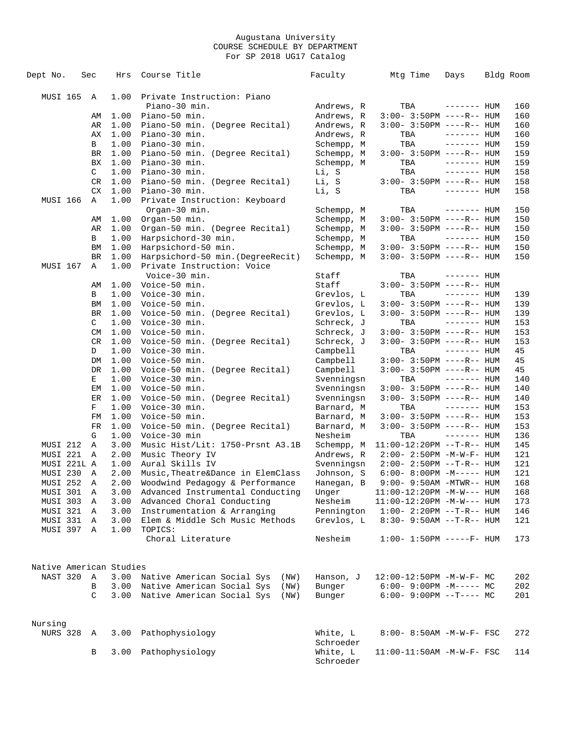| Dept No.                |            | Sec | Hrs  | Course Title                            | Faculty                  | Mtg Time                       | Days         | Bldg Room |
|-------------------------|------------|-----|------|-----------------------------------------|--------------------------|--------------------------------|--------------|-----------|
|                         |            |     |      |                                         |                          |                                |              |           |
| MUSI 165                |            | A   | 1.00 | Private Instruction: Piano              |                          |                                |              |           |
|                         |            |     |      | Piano-30 min.                           | Andrews, R               | TBA                            | $------$ HUM | 160       |
|                         |            | AΜ  | 1.00 | Piano-50 min.                           | Andrews, R               | $3:00-3:50PM$ ----R-- HUM      |              | 160       |
|                         |            | AR  | 1.00 | Piano-50 min. (Degree Recital)          | Andrews, R               | $3:00 - 3:50PM$ ----R-- HUM    |              | 160       |
|                         |            | АX  | 1.00 | Piano-30 min.                           | Andrews, R               | TBA                            | $------$ HUM | 160       |
|                         |            | В   | 1.00 | Piano-30 min.                           | Schempp, M               | TBA                            | $------$ HUM | 159       |
|                         |            | BR  | 1.00 | Piano-50 min. (Degree Recital)          | Schempp, M               | $3:00-3:50PM$ ----R-- HUM      |              | 159       |
|                         |            | BX  | 1.00 | Piano-30 min.                           | Schempp, M               | TBA                            | $------HUM$  | 159       |
|                         |            | C   | 1.00 | Piano-30 min.                           | Li, S                    | TBA                            | $------$ HUM | 158       |
|                         |            | CR  | 1.00 | Piano-50 min. (Degree Recital)          | Li, S                    | $3:00-3:50PM$ ----R-- HUM      |              | 158       |
|                         |            | CX  | 1.00 | Piano-30 min.                           | Li, S                    | TBA                            | $------$ HUM | 158       |
| MUSI 166                |            | Α   | 1.00 | Private Instruction: Keyboard           |                          |                                |              |           |
|                         |            |     |      | Organ-30 min.                           |                          | TBA                            | ------- HUM  | 150       |
|                         |            | AΜ  | 1.00 | Organ-50 min.                           | Schempp, M<br>Schempp, M | $3:00-3:50PM$ ----R-- HUM      |              | 150       |
|                         |            | AR  | 1.00 | Organ-50 min. (Degree Recital)          | Schempp, M               | $3:00-3:50PM$ ----R-- HUM      |              | 150       |
|                         |            |     |      |                                         |                          |                                |              |           |
|                         |            | в   | 1.00 | Harpsichord-30 min.                     | Schempp, M               | TBA                            | $------$ HUM | 150       |
|                         |            | BM  | 1.00 | Harpsichord-50 min.                     | Schempp, M               | $3:00-3:50PM$ ----R-- HUM      |              | 150       |
|                         |            | BR  | 1.00 | Harpsichord-50 min. (DegreeRecit)       | Schempp, M               | $3:00-3:50PM$ ----R-- HUM      |              | 150       |
| MUSI 167                |            | Α   | 1.00 | Private Instruction: Voice              |                          |                                |              |           |
|                         |            |     |      | Voice-30 min.                           | Staff                    | TBA                            | ------- HUM  |           |
|                         |            | AΜ  | 1.00 | Voice-50 min.                           | Staff                    | $3:00 - 3:50PM$ ----R-- HUM    |              |           |
|                         |            | В   | 1.00 | Voice-30 min.                           | Grevlos, L               | TBA                            | $------$ HUM | 139       |
|                         |            | ΒM  | 1.00 | Voice-50 min.                           | Grevlos, L               | $3:00-3:50PM$ ----R-- HUM      |              | 139       |
|                         |            | BR  | 1.00 | Voice-50 min. (Degree Recital)          | Grevlos, L               | $3:00 - 3:50PM$ ----R-- HUM    |              | 139       |
|                         |            | C   | 1.00 | Voice-30 min.                           | Schreck, J               | TBA                            | $------$ HUM | 153       |
|                         |            | CM  | 1.00 | Voice-50 min.                           | Schreck, J               | $3:00-3:50PM$ ----R-- HUM      |              | 153       |
|                         |            | CR  | 1.00 | Voice-50 min. (Degree Recital)          | Schreck, J               | $3:00 - 3:50PM$ ----R-- HUM    |              | 153       |
|                         |            | D   | 1.00 | Voice-30 min.                           | Campbell                 | TBA                            | $------$ HUM | 45        |
|                         |            | DM  | 1.00 | Voice-50 min.                           | Campbell                 | $3:00-3:50PM$ ----R-- HUM      |              | 45        |
|                         |            | DR  | 1.00 | Voice-50 min. (Degree Recital)          | Campbell                 | $3:00 - 3:50PM$ ----R-- HUM    |              | 45        |
|                         |            | Е   | 1.00 | Voice-30 min.                           | Svenningsn               | TBA                            | $------$ HUM | 140       |
|                         |            | EМ  | 1.00 | Voice-50 min.                           | Svenningsn               | $3:00-3:50PM$ ----R-- HUM      |              | 140       |
|                         |            | ER  | 1.00 | Voice-50 min. (Degree Recital)          | Svenningsn               | $3:00 - 3:50PM$ ----R-- HUM    |              | 140       |
|                         |            | F   | 1.00 | Voice-30 min.                           | Barnard, M               | TBA                            | $------$ HUM | 153       |
|                         |            | FM  | 1.00 | Voice-50 min.                           | Barnard, M               | $3:00-3:50PM$ ----R-- HUM      |              | 153       |
|                         |            | FR  | 1.00 | Voice-50 min. (Degree Recital)          | Barnard, M               | $3:00 - 3:50PM$ ----R-- HUM    |              | 153       |
|                         |            | G   | 1.00 | Voice-30 min                            | Nesheim                  | TBA                            | $------$ HUM | 136       |
| MUSI 212                |            | A   | 3.00 | Music Hist/Lit: 1750-Prsnt A3.1B        | Schempp, M               | 11:00-12:20PM --T-R-- HUM      |              | 145       |
| MUSI 221                |            | A   | 2.00 | Music Theory IV                         | Andrews, R               | $2:00 - 2:50PM -M-W-F - HUM$   |              | 121       |
| MUSI 221L A             |            |     | 1.00 | Aural Skills IV                         | Svenningsn               | 2:00- 2:50PM --T-R-- HUM       |              | 121       |
| MUSI 230                |            | Α   | 2.00 | Music, Theatre&Dance in ElemClass       | Johnson, S               | $6:00-8:00PM -M-----$ HUM      |              | 121       |
| MUSI 252                |            | А   | 2.00 | Woodwind Pedagogy & Performance         | Hanegan, B               | $9:00 - 9:50AM - MTWR - - HUM$ |              | 168       |
| MUSI 301                |            | A   | 3.00 | Advanced Instrumental Conducting        | Unger                    | $11:00-12:20PM -M-W---$ HUM    |              | 168       |
| MUSI 303                |            | Α   | 3.00 | Advanced Choral Conducting              | Nesheim                  | $11:00-12:20PM -M-W---$ HUM    |              | 173       |
| MUSI 321 A              |            |     | 3.00 | Instrumentation & Arranging             | Pennington               | $1:00 - 2:20PM -T-R--HUM$      |              | 146       |
| MUSI 331                |            | A   | 3.00 | Elem & Middle Sch Music Methods         | Grevlos, L               | $8:30 - 9:50AM -T-R-- HUM$     |              | 121       |
| MUSI 397 A              |            |     | 1.00 | TOPICS:                                 |                          |                                |              |           |
|                         |            |     |      | Choral Literature                       | Nesheim                  | $1:00 - 1:50PM$ -----F- HUM    |              | 173       |
|                         |            |     |      |                                         |                          |                                |              |           |
|                         |            |     |      |                                         |                          |                                |              |           |
| Native American Studies |            |     |      |                                         |                          |                                |              |           |
| NAST 320                |            | A   |      | 3.00 Native American Social Sys<br>(NW) | Hanson, J                | 12:00-12:50PM -M-W-F- MC       |              | 202       |
|                         |            | B   |      | 3.00 Native American Social Sys<br>(NW) | Bunger                   | $6:00-9:00PM -M--- MC$         |              | 202       |
|                         |            | C   |      | 3.00 Native American Social Sys<br>(NW) | Bunger                   | $6:00-9:00PM$ --T---- MC       |              | 201       |
|                         |            |     |      |                                         |                          |                                |              |           |
|                         |            |     |      |                                         |                          |                                |              |           |
| Nursing                 |            |     |      |                                         |                          |                                |              |           |
|                         | NURS 328 A |     | 3.00 | Pathophysiology                         | White, L                 | 8:00- 8:50AM -M-W-F- FSC       |              | 272       |
|                         |            |     |      |                                         | Schroeder                |                                |              |           |
|                         |            | В   | 3.00 | Pathophysiology                         | White, L                 | $11:00-11:50AM$ -M-W-F- FSC    |              | 114       |
|                         |            |     |      |                                         | Schroeder                |                                |              |           |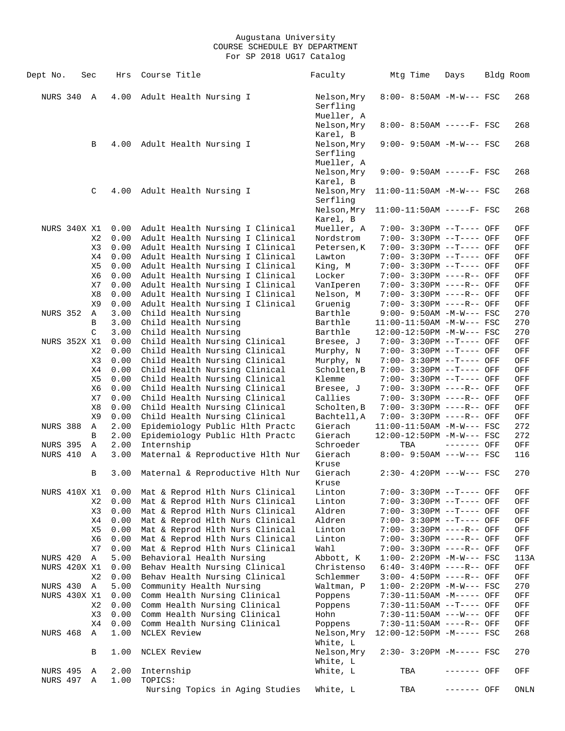| Dept No.                    | Sec                 |          | Hrs          | Course Title                                                       | Faculty                               |     | Mtg Time | Days                                                        | Bldg Room  |
|-----------------------------|---------------------|----------|--------------|--------------------------------------------------------------------|---------------------------------------|-----|----------|-------------------------------------------------------------|------------|
| NURS 340                    |                     | A        | 4.00         | Adult Health Nursing I                                             | Nelson, Mry<br>Serfling               |     |          | $8:00 - 8:50AM - M-W--- FSC$                                | 268        |
|                             |                     |          |              |                                                                    | Mueller, A<br>Nelson, Mry             |     |          | $8:00 - 8:50AM$ -----F- FSC                                 | 268        |
|                             |                     | В        | 4.00         | Adult Health Nursing I                                             | Karel, B<br>Nelson, Mry<br>Serfling   |     |          | 9:00- 9:50AM -M-W--- FSC                                    | 268        |
|                             |                     |          |              |                                                                    | Mueller, A<br>Nelson, Mry<br>Karel, B |     |          | $9:00-9:50AM$ -----F- FSC                                   | 268        |
|                             |                     | C        | 4.00         | Adult Health Nursing I                                             | Nelson, Mry<br>Serfling               |     |          | $11:00-11:50AM$ -M-W--- FSC                                 | 268        |
|                             |                     |          |              |                                                                    | Nelson, Mry<br>Karel, B               |     |          | $11:00-11:50AM$ -----F- FSC                                 | 268        |
|                             | NURS 340X X1        |          | 0.00         | Adult Health Nursing I Clinical                                    | Mueller, A                            |     |          | 7:00- 3:30PM --T---- OFF                                    | OFF        |
|                             |                     | X2       | 0.00         | Adult Health Nursing I Clinical                                    | Nordstrom                             |     |          | 7:00- 3:30PM --T---- OFF                                    | OFF        |
|                             |                     | X3       | 0.00         | Adult Health Nursing I Clinical                                    | Petersen, K                           |     |          | 7:00- 3:30PM --T---- OFF                                    | OFF        |
|                             |                     | X4       | 0.00         | Adult Health Nursing I Clinical                                    | Lawton                                |     |          | 7:00- 3:30PM --T---- OFF                                    | OFF        |
|                             |                     | X5       | 0.00         | Adult Health Nursing I Clinical                                    | King, M                               |     |          | 7:00- 3:30PM --T---- OFF                                    | OFF        |
|                             |                     | X6       | 0.00         | Adult Health Nursing I Clinical                                    | Locker                                |     |          | 7:00- 3:30PM ----R-- OFF                                    | OFF        |
|                             |                     | X7       | 0.00         | Adult Health Nursing I Clinical                                    | VanIperen                             |     |          | 7:00- 3:30PM ----R-- OFF                                    | OFF        |
|                             |                     | X8       | 0.00         | Adult Health Nursing I Clinical                                    | Nelson, M                             |     |          | 7:00- 3:30PM ----R-- OFF                                    | OFF        |
| <b>NURS 352</b>             |                     | X9       | 0.00         | Adult Health Nursing I Clinical                                    | Gruenig<br>Barthle                    |     |          | 7:00- 3:30PM ----R-- OFF                                    | OFF<br>270 |
|                             |                     | Α<br>B   | 3.00<br>3.00 | Child Health Nursing<br>Child Health Nursing                       | Barthle                               |     |          | $9:00 - 9:50AM - M-W--- FSC$<br>$11:00-11:50AM$ -M-W--- FSC | 270        |
|                             |                     | C        | 3.00         | Child Health Nursing                                               | Barthle                               |     |          | 12:00-12:50PM -M-W--- FSC                                   | 270        |
|                             | <b>NURS 352X X1</b> |          | 0.00         | Child Health Nursing Clinical                                      | Bresee, J                             |     |          | 7:00- 3:30PM --T---- OFF                                    | OFF        |
|                             |                     | X2       | 0.00         | Child Health Nursing Clinical                                      | Murphy, N                             |     |          | 7:00- 3:30PM --T---- OFF                                    | OFF        |
|                             |                     | X3       | 0.00         | Child Health Nursing Clinical                                      | Murphy, N                             |     |          | 7:00- 3:30PM --T---- OFF                                    | OFF        |
|                             |                     | X4       | 0.00         | Child Health Nursing Clinical                                      | Scholten, B                           |     |          | 7:00- 3:30PM --T---- OFF                                    | OFF        |
|                             |                     | X5       | 0.00         | Child Health Nursing Clinical                                      | Klemme                                |     |          | 7:00- 3:30PM --T---- OFF                                    | OFF        |
|                             |                     | X6       | 0.00         | Child Health Nursing Clinical                                      | Bresee, J                             |     |          | 7:00- 3:30PM ----R-- OFF                                    | OFF        |
|                             |                     | X7       | 0.00         | Child Health Nursing Clinical                                      | Callies                               |     |          | 7:00- 3:30PM ----R-- OFF                                    | OFF        |
|                             |                     | X8       | 0.00         | Child Health Nursing Clinical                                      | Scholten, B                           |     |          | 7:00- 3:30PM ----R-- OFF                                    | OFF        |
|                             |                     | X9       | 0.00         | Child Health Nursing Clinical                                      | Bachtell, A                           |     |          | 7:00- 3:30PM ----R-- OFF                                    | OFF        |
| <b>NURS 388</b>             |                     | Α        | 2.00         | Epidemiology Public Hlth Practc                                    | Gierach                               |     |          | $11:00-11:50AM$ -M-W--- FSC                                 | 272        |
|                             |                     | В        | 2.00         | Epidemiology Public Hlth Practc                                    | Gierach                               |     |          | 12:00-12:50PM -M-W--- FSC                                   | 272        |
| <b>NURS 395</b>             |                     | Α        | 2.00         | Internship                                                         | Schroeder                             | TBA |          | ------- OFF                                                 | OFF        |
| NURS 410                    |                     | Α        | 3.00         | Maternal & Reproductive Hlth Nur                                   | Gierach<br>Kruse                      |     |          | $8:00 - 9:50AM$ ---W--- FSC                                 | 116        |
|                             |                     | В        | 3.00         | Maternal & Reproductive Hlth Nur                                   | Gierach<br>Kruse                      |     |          | $2:30-4:20PM$ ---W--- FSC                                   | 270        |
|                             | NURS 410X X1        |          | 0.00         | Mat & Reprod Hlth Nurs Clinical                                    | Linton                                |     |          | 7:00- 3:30PM --T---- OFF                                    | OFF        |
|                             |                     | X2       | 0.00         | Mat & Reprod Hlth Nurs Clinical                                    | Linton                                |     |          | 7:00- 3:30PM --T---- OFF                                    | OFF        |
|                             |                     | X3       | 0.00<br>0.00 | Mat & Reprod Hlth Nurs Clinical<br>Mat & Reprod Hlth Nurs Clinical | Aldren<br>Aldren                      |     |          | 7:00- 3:30PM --T---- OFF<br>7:00- 3:30PM --T---- OFF        | OFF        |
|                             |                     | X4<br>X5 | 0.00         | Mat & Reprod Hlth Nurs Clinical                                    | Linton                                |     |          | 7:00- 3:30PM ----R-- OFF                                    | OFF<br>OFF |
|                             |                     | X6       | 0.00         | Mat & Reprod Hlth Nurs Clinical                                    | Linton                                |     |          | 7:00- 3:30PM ----R-- OFF                                    | OFF        |
|                             |                     | X7       | 0.00         | Mat & Reprod Hlth Nurs Clinical                                    | Wahl                                  |     |          | 7:00- 3:30PM ----R-- OFF                                    | OFF        |
| NURS 420                    |                     | Α        | 5.00         | Behavioral Health Nursing                                          | Abbott, K                             |     |          | $1:00-2:20PM -M-W--- FSC$                                   | 113A       |
|                             | NURS 420X X1        |          | 0.00         | Behav Health Nursing Clinical                                      | Christenso                            |     |          | $6:40-3:40PM$ ----R-- OFF                                   | OFF        |
|                             |                     | X2       | 0.00         | Behav Health Nursing Clinical                                      | Schlemmer                             |     |          | 3:00- 4:50PM ----R-- OFF                                    | OFF        |
| NURS 430                    |                     | Α        | 5.00         | Community Health Nursing                                           | Waltman, P                            |     |          | $1:00-2:20PM -M-W--- FSC$                                   | 270        |
|                             | NURS 430X X1        |          | 0.00         | Comm Health Nursing Clinical                                       | Poppens                               |     |          | 7:30-11:50AM -M----- OFF                                    | OFF        |
|                             |                     | X2       | 0.00         | Comm Health Nursing Clinical                                       | Poppens                               |     |          | 7:30-11:50AM --T---- OFF                                    | OFF        |
|                             |                     | X3       | 0.00         | Comm Health Nursing Clinical                                       | Hohn                                  |     |          | 7:30-11:50AM ---W--- OFF                                    | OFF        |
|                             |                     | X4       | 0.00         | Comm Health Nursing Clinical                                       | Poppens                               |     |          | 7:30-11:50AM ----R-- OFF                                    | OFF        |
| <b>NURS 468</b>             |                     | Α        | 1.00         | NCLEX Review                                                       | Nelson, Mry<br>White, L               |     |          | $12:00-12:50PM -M---$ FSC                                   | 268        |
|                             |                     | В        | 1.00         | NCLEX Review                                                       | Nelson, Mry<br>White, L               |     |          | $2:30-3:20PM -M--- FSC$                                     | 270        |
| <b>NURS 495</b><br>NURS 497 |                     | Α<br>Α   | 2.00<br>1.00 | Internship<br>TOPICS:                                              | White, L                              | TBA |          | ------- OFF                                                 | OFF        |
|                             |                     |          |              | Nursing Topics in Aging Studies                                    | White, L                              | TBA |          | ------- OFF                                                 | ONLN       |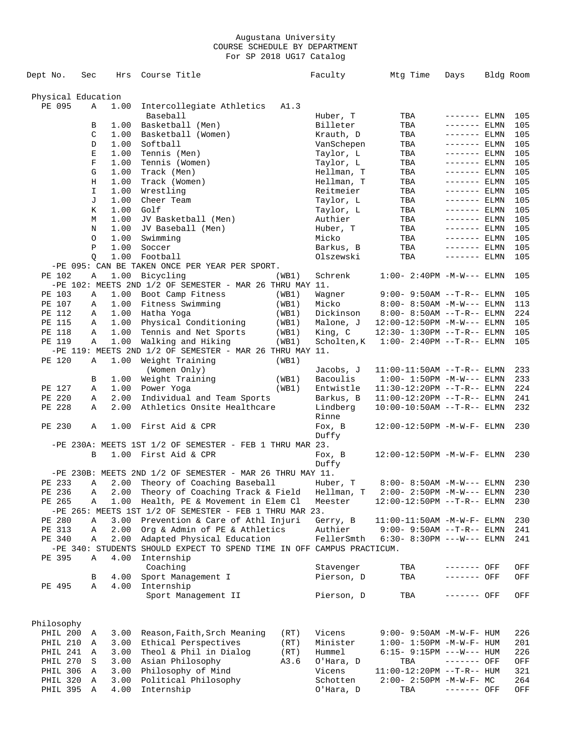| Dept No.           | Sec         | Hrs          | Course Title                                                           |                | Faculty                | Mtg Time                                                    | Days                           | Bldg Room |            |
|--------------------|-------------|--------------|------------------------------------------------------------------------|----------------|------------------------|-------------------------------------------------------------|--------------------------------|-----------|------------|
|                    |             |              |                                                                        |                |                        |                                                             |                                |           |            |
| Physical Education |             |              |                                                                        |                |                        |                                                             |                                |           |            |
| PE 095             | Α           | 1.00         | Intercollegiate Athletics                                              | A1.3           |                        |                                                             |                                |           |            |
|                    |             |              | Baseball                                                               |                | Huber, T               | TBA                                                         | ------- ELMN                   |           | 105        |
|                    | В           | 1.00         | Basketball (Men)                                                       |                | Billeter               | TBA                                                         | $------$ ELMN                  |           | 105        |
|                    | C           | 1.00         | Basketball (Women)                                                     |                | Krauth, D              | TBA                                                         | ------- ELMN                   |           | 105        |
|                    | D<br>Е      | 1.00<br>1.00 | Softball<br>Tennis (Men)                                               |                | VanSchepen             | TBA                                                         | $------ELMN$                   |           | 105<br>105 |
|                    | $\mathbf F$ | 1.00         | Tennis (Women)                                                         |                | Taylor, L<br>Taylor, L | TBA<br>TBA                                                  | $------$ ELMN<br>$------$ ELMN |           | 105        |
|                    | G           | 1.00         | Track (Men)                                                            |                | Hellman, T             | TBA                                                         | $------$ ELMN                  |           | 105        |
|                    | Η           | 1.00         | Track (Women)                                                          |                | Hellman, T             | TBA                                                         | $------$ ELMN                  |           | 105        |
|                    | I           | 1.00         | Wrestling                                                              |                | Reitmeier              | TBA                                                         | $------$ ELMN                  |           | 105        |
|                    | J           | 1.00         | Cheer Team                                                             |                | Taylor, L              | TBA                                                         | $------$ ELMN                  |           | 105        |
|                    | Κ           | 1.00         | Golf                                                                   |                | Taylor, L              | TBA                                                         | $------ELMN$                   |           | 105        |
|                    | М           | 1.00         | JV Basketball (Men)                                                    |                | Authier                | TBA                                                         | $------$ ELMN                  |           | 105        |
|                    | Ν           | 1.00         | JV Baseball (Men)                                                      |                | Huber, T               | TBA                                                         | $------$ ELMN                  |           | 105        |
|                    | O           | 1.00         | Swimming                                                               |                | Micko                  | TBA                                                         | $------ELMN$                   |           | 105        |
|                    | Ρ           | 1.00         | Soccer                                                                 |                | Barkus, B              | TBA                                                         | $------$ ELMN                  |           | 105        |
|                    | $\circ$     | 1.00         | Football                                                               |                | Olszewski              | TBA                                                         | $------$ ELMN                  |           | 105        |
|                    |             |              | -PE 095: CAN BE TAKEN ONCE PER YEAR PER SPORT.                         |                |                        |                                                             |                                |           |            |
| PE 102             | Α           | 1.00         | Bicycling                                                              | (WB1)          | Schrenk                | $1:00 - 2:40PM -M-W---$ ELMN                                |                                |           | 105        |
|                    |             |              | -PE 102: MEETS 2ND $1/2$ OF SEMESTER - MAR 26 THRU MAY 11.             |                |                        |                                                             |                                |           |            |
| PE 103<br>PE 107   | Α<br>Α      | 1.00<br>1.00 | Boot Camp Fitness<br>Fitness Swimming                                  | (WB1)<br>(WB1) | Wagner<br>Micko        | $9:00 - 9:50AM -T-R--ELMN$<br>$8:00 - 8:50AM - M-W---$ ELMN |                                |           | 105<br>113 |
| PE 112             | Α           | 1.00         | Hatha Yoga                                                             | (WB1)          | Dickinson              | $8:00 - 8:50AM -T-R--ELMN$                                  |                                |           | 224        |
| PE 115             | Α           | 1.00         | Physical Conditioning                                                  | (WB1)          | Malone, J              | $12:00-12:50PM -M-W---$ ELMN                                |                                |           | 105        |
| PE 118             | Α           | 1.00         | Tennis and Net Sports                                                  | (WB1)          | King, C                | 12:30- 1:30PM --T-R-- ELMN                                  |                                |           | 105        |
| PE 119             | Α           | 1.00         | Walking and Hiking                                                     | (WB1)          | Scholten, K            | $1:00-2:40PM -T-R--ELMN$                                    |                                |           | 105        |
|                    |             |              | -PE 119: MEETS 2ND 1/2 OF SEMESTER - MAR 26 THRU MAY 11.               |                |                        |                                                             |                                |           |            |
| PE 120             | Α           | 1.00         | Weight Training                                                        | (WB1)          |                        |                                                             |                                |           |            |
|                    |             |              | (Women Only)                                                           |                | Jacobs, J              | $11:00-11:50AM$ --T-R-- ELMN                                |                                |           | 233        |
|                    | В           | 1.00         | Weight Training                                                        | (WB1)          | Bacoulis               | $1:00 - 1:50PM -M-W---$ ELMN                                |                                |           | 233        |
| PE 127             | Α           | 1.00         | Power Yoga                                                             | (WB1)          | Entwistle              | $11:30-12:20PM --T-R--ELMN$                                 |                                |           | 224        |
| PE 220             | Α           | 2.00         | Individual and Team Sports                                             |                | Barkus, B              | $11:00-12:20PM --T-R--ELMN$                                 |                                |           | 241        |
| PE 228             | Α           | 2.00         | Athletics Onsite Healthcare                                            |                | Lindberg               | $10:00-10:50AM$ --T-R-- ELMN                                |                                |           | 232        |
|                    |             |              |                                                                        |                | Rinne                  |                                                             |                                |           |            |
| PE 230             | Α           | 1.00         | First Aid & CPR                                                        |                | Fox, B                 | 12:00-12:50PM -M-W-F- ELMN                                  |                                |           | 230        |
|                    |             |              |                                                                        |                | Duffy                  |                                                             |                                |           |            |
|                    |             |              | $-PE$ 230A: MEETS 1ST $1/2$ OF SEMESTER - FEB 1 THRU MAR 23.           |                |                        |                                                             |                                |           |            |
|                    | B           |              | 1.00 First Aid & CPR                                                   |                | Fox, B<br>Duffy        | 12:00-12:50PM -M-W-F- ELMN                                  |                                |           | 230        |
|                    |             |              | -PE 230B: MEETS 2ND $1/2$ OF SEMESTER - MAR 26 THRU MAY 11.            |                |                        |                                                             |                                |           |            |
|                    |             |              | PE 233 A 2.00 Theory of Coaching Baseball                              |                | Huber, T               | $8:00 - 8:50$ AM $-M-W---$ ELMN                             |                                |           | 230        |
| PE 236             | Α           |              | 2.00 Theory of Coaching Track & Field                                  |                | Hellman, T             | 2:00- 2:50PM -M-W--- ELMN                                   |                                |           | 230        |
| PE 265             | Α           |              | 1.00 Health, PE & Movement in Elem Cl                                  |                | Meester                | 12:00-12:50PM --T-R-- ELMN                                  |                                |           | 230        |
|                    |             |              | -PE 265: MEETS 1ST 1/2 OF SEMESTER - FEB 1 THRU MAR 23.                |                |                        |                                                             |                                |           |            |
| PE 280             | Α           | 3.00         | Prevention & Care of Athl Injuri                                       |                | Gerry, B               | 11:00-11:50AM -M-W-F- ELMN                                  |                                |           | 230        |
| PE 313             | Α           |              | 2.00 Org & Admin of PE & Athletics                                     |                |                        | Authier 9:00-9:50AM --T-R-- ELMN                            |                                |           | 241        |
| PE 340             | Α           |              | 2.00 Adapted Physical Education                                        |                |                        | $FellerSmth$ 6:30-8:30PM ---W--- ELMN                       |                                |           | 241        |
|                    |             |              | -PE 340: STUDENTS SHOULD EXPECT TO SPEND TIME IN OFF CAMPUS PRACTICUM. |                |                        |                                                             |                                |           |            |
| PE 395             | Α           | 4.00         | Internship                                                             |                |                        |                                                             |                                |           |            |
|                    |             |              | Coaching                                                               |                | Stavenger              | TBA                                                         | ------- OFF                    |           | OFF        |
|                    | В           | 4.00         | Sport Management I                                                     |                | Pierson, D             | TBA                                                         | ------- OFF                    |           | OFF        |
| PE 495             | Α           | 4.00         | Internship                                                             |                |                        |                                                             |                                |           |            |
|                    |             |              | Sport Management II                                                    |                | Pierson, D             | TBA                                                         | ------- OFF                    |           | OFF        |
|                    |             |              |                                                                        |                |                        |                                                             |                                |           |            |
| Philosophy         |             |              |                                                                        |                |                        |                                                             |                                |           |            |
| PHIL 200 A         |             | 3.00         | Reason, Faith, Srch Meaning                                            | (RT)           | Vicens                 | $9:00 - 9:50AM - M - W - F - HUM$                           |                                |           | 226        |
| PHIL 210           | A           |              | 3.00 Ethical Perspectives                                              | (RT)           | Minister               | $1:00 - 1:50PM -M -W -F - HUM$                              |                                |           | 201        |
| PHIL 241           | A           | 3.00         | Theol & Phil in Dialog                                                 | (RT)           | Hummel                 | $6:15-9:15PM ---W---HUM$                                    |                                |           | 226        |
| PHIL 270           | S           | 3.00         | Asian Philosophy                                                       | A3.6           | O'Hara, D              | TBA                                                         | ------- OFF                    |           | OFF        |
| PHIL 306           | Α           | 3.00         | Philosophy of Mind                                                     |                | Vicens                 | $11:00-12:20PM$ --T-R-- HUM                                 |                                |           | 321        |
| PHIL 320           | Α           | 3.00         | Political Philosophy                                                   |                | Schotten               | $2:00 - 2:50PM -M-W-F - MC$                                 |                                |           | 264        |
| PHIL 395 A         |             | 4.00         | Internship                                                             |                | O'Hara, D              | TBA                                                         | ------- OFF                    |           | OFF        |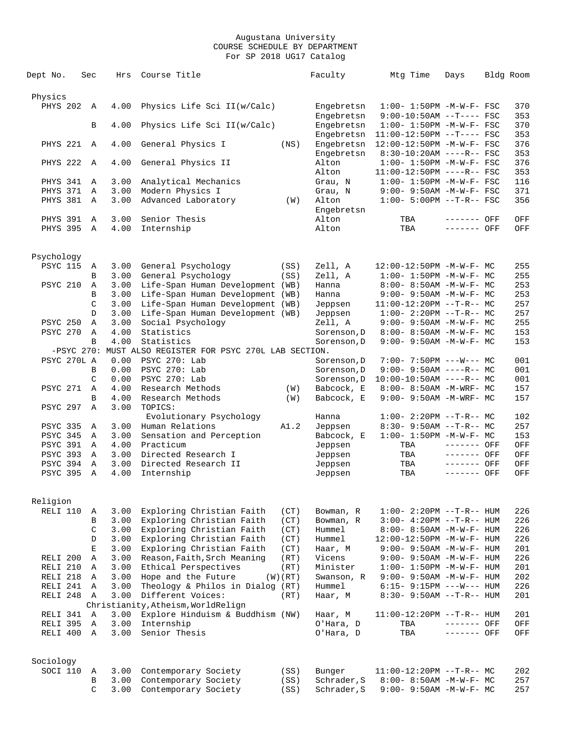| Dept No.        | Sec          |             | Hrs  | Course Title                                             |         | Faculty     | Mtg Time                          | Days         | Bldg Room |            |
|-----------------|--------------|-------------|------|----------------------------------------------------------|---------|-------------|-----------------------------------|--------------|-----------|------------|
|                 |              |             |      |                                                          |         |             |                                   |              |           |            |
| Physics         |              |             |      |                                                          |         |             |                                   |              |           |            |
| <b>PHYS 202</b> | Α            |             | 4.00 | Physics Life Sci II(w/Calc)                              |         | Engebretsn  | $1:00 - 1:50PM -M-W-F-$ FSC       |              |           | 370        |
|                 |              |             |      |                                                          |         | Engebretsn  | $9:00-10:50AM$ --T---- FSC        |              |           | 353        |
|                 | B            |             | 4.00 | Physics Life Sci II(w/Calc)                              |         | Engebretsn  | $1:00 - 1:50PM - M - W - F - FSC$ |              |           | 370        |
|                 |              |             |      |                                                          |         | Engebretsn  | $11:00-12:50PM$ --T---- FSC       |              |           | 353        |
| <b>PHYS 221</b> | A            |             | 4.00 | General Physics I                                        | (NS)    | Engebretsn  | $12:00-12:50PM -M-W-F- FSC$       |              |           | 376        |
|                 |              |             |      |                                                          |         | Engebretsn  | $8:30-10:20AM$ ----R-- FSC        |              |           | 353        |
| <b>PHYS 222</b> | Α            |             | 4.00 | General Physics II                                       |         | Alton       | $1:00 - 1:50PM - M - W - F - FSC$ |              |           | 376        |
|                 |              |             |      |                                                          |         | Alton       | $11:00-12:50PM$ ----R-- FSC       |              |           | 353        |
|                 |              |             | 3.00 |                                                          |         |             |                                   |              |           | 116        |
| PHYS 341        | Α            |             |      | Analytical Mechanics                                     |         | Grau, N     | $1:00 - 1:50PM -M-W-F - FSC$      |              |           |            |
| PHYS 371        | Α            |             | 3.00 | Modern Physics I                                         |         | Grau, N     | $9:00 - 9:50AM - M-W-F - FSC$     |              |           | 371<br>356 |
| PHYS 381        | Α            |             | 3.00 | Advanced Laboratory                                      | (W)     | Alton       | $1:00 - 5:00PM -T-R--FSC$         |              |           |            |
|                 |              |             |      |                                                          |         | Engebretsn  |                                   |              |           |            |
| <b>PHYS 391</b> | Α            |             | 3.00 | Senior Thesis                                            |         | Alton       | TBA                               | ------- OFF  |           | OFF        |
| <b>PHYS 395</b> | Α            |             | 4.00 | Internship                                               |         | Alton       | TBA                               | ------- OFF  |           | OFF        |
|                 |              |             |      |                                                          |         |             |                                   |              |           |            |
|                 |              |             |      |                                                          |         |             |                                   |              |           |            |
| Psychology      |              |             |      |                                                          |         |             |                                   |              |           |            |
| <b>PSYC 115</b> | Α            |             | 3.00 | General Psychology                                       | (SS)    | Zell, A     | 12:00-12:50PM -M-W-F- MC          |              |           | 255        |
|                 | B            |             | 3.00 | General Psychology                                       | (SS)    | Zell, A     | $1:00 - 1:50PM - M - W - F - MC$  |              |           | 255        |
| <b>PSYC 210</b> | A            |             | 3.00 | Life-Span Human Development (WB)                         |         | Hanna       | $8:00 - 8:50AM - M - W - F - MC$  |              |           | 253        |
|                 | B            |             | 3.00 | Life-Span Human Development (WB)                         |         | Hanna       | $9:00 - 9:50AM - M - W - F - MC$  |              |           | 253        |
|                 | C            |             | 3.00 | Life-Span Human Development (WB)                         |         | Jeppsen     | $11:00-12:20PM$ --T-R-- MC        |              |           | 257        |
|                 | D            |             | 3.00 | Life-Span Human Development (WB)                         |         | Jeppsen     | $1:00-2:20PM -T-R--MC$            |              |           | 257        |
| <b>PSYC 250</b> | Α            |             | 3.00 | Social Psychology                                        |         | Zell, A     | $9:00 - 9:50AM - M - W - F - MC$  |              |           | 255        |
| <b>PSYC 270</b> | Α            |             | 4.00 | Statistics                                               |         | Sorenson, D | 8:00- 8:50AM -M-W-F- MC           |              |           | 153        |
|                 | B            |             | 4.00 | Statistics                                               |         | Sorenson, D | 9:00- 9:50AM -M-W-F- MC           |              |           | 153        |
|                 |              |             |      | -PSYC 270: MUST ALSO REGISTER FOR PSYC 270L LAB SECTION. |         |             |                                   |              |           |            |
| PSYC 270L A     |              |             | 0.00 | PSYC 270: Lab                                            |         | Sorenson, D | $7:00-7:50PM$ ---W--- MC          |              |           | 001        |
|                 | B            |             | 0.00 | PSYC 270: Lab                                            |         | Sorenson, D | 9:00- 9:50AM ----R-- MC           |              |           | 001        |
|                 | C            |             | 0.00 | PSYC 270: Lab                                            |         | Sorenson, D | $10:00-10:50AM$ ----R-- MC        |              |           | 001        |
| <b>PSYC 271</b> | Α            |             | 4.00 | Research Methods                                         |         | Babcock, E  |                                   |              |           | 157        |
|                 |              |             |      |                                                          | (W)     |             | 8:00- 8:50AM -M-WRF- MC           |              |           |            |
|                 | B            |             | 4.00 | Research Methods                                         | (W)     | Babcock, E  | 9:00- 9:50AM -M-WRF- MC           |              |           | 157        |
| <b>PSYC 297</b> | Α            |             | 3.00 | TOPICS:                                                  |         |             |                                   |              |           |            |
|                 |              |             |      | Evolutionary Psychology                                  |         | Hanna       | $1:00-2:20PM --T-R--MC$           |              |           | 102        |
| <b>PSYC 335</b> | Α            |             | 3.00 | Human Relations                                          | A1.2    | Jeppsen     | $8:30-9:50AM --T-R--MC$           |              |           | 257        |
| <b>PSYC 345</b> | Α            |             | 3.00 | Sensation and Perception                                 |         | Babcock, E  | $1:00-1:50PM -M-W-F-MC$           |              |           | 153        |
| PSYC 391        | Α            |             | 4.00 | Practicum                                                |         | Jeppsen     | TBA                               | ------- OFF  |           | OFF        |
| <b>PSYC 393</b> | Α            |             | 3.00 | Directed Research I                                      |         | Jeppsen     | TBA                               | ------- OFF  |           | OFF        |
| PSYC 394        | Α            |             | 3.00 | Directed Research II                                     |         | Jeppsen     | TBA                               | ------- OFF  |           | OFF        |
| <b>PSYC 395</b> | Α            |             | 4.00 | Internship                                               |         | Jeppsen     | TBA                               | ------- OFF  |           | OFF        |
|                 |              |             |      |                                                          |         |             |                                   |              |           |            |
|                 |              |             |      |                                                          |         |             |                                   |              |           |            |
| Religion        |              |             |      |                                                          |         |             |                                   |              |           |            |
| RELI 110        | Α            |             | 3.00 | Exploring Christian Faith                                | (CT)    | Bowman, R   | $1:00 - 2:20PM -T-R--HUM$         |              |           | 226        |
|                 | B            |             | 3.00 | Exploring Christian Faith                                | (CT)    | Bowman, R   | $3:00-4:20PM -T-R--HUM$           |              |           | 226        |
|                 | $\mathsf C$  |             | 3.00 | Exploring Christian Faith                                | (CT)    | Hummel      | 8:00- 8:50AM -M-W-F- HUM          |              |           | 226        |
|                 | D            |             | 3.00 | Exploring Christian Faith                                | (CT)    | Hummel      | 12:00-12:50PM -M-W-F- HUM         |              |           | 226        |
|                 | $\mathbf E$  |             | 3.00 | Exploring Christian Faith                                | (CT)    | Haar, M     | 9:00- 9:50AM -M-W-F- HUM          |              |           | 201        |
| RELI 200        |              | Α           | 3.00 | Reason, Faith, Srch Meaning                              | (RT)    | Vicens      | $9:00 - 9:50AM - M - W - F - HUM$ |              |           | 226        |
| RELI 210        | A            |             | 3.00 | Ethical Perspectives                                     | (RT)    | Minister    | $1:00 - 1:50PM - M - W - F - HUM$ |              |           | 201        |
| RELI 218        | Α            |             | 3.00 | Hope and the Future                                      | (W)(RT) | Swanson, R  | $9:00 - 9:50AM - M - W - F - HUM$ |              |           | 202        |
| RELI 241        |              | $\mathbb A$ | 3.00 | Theology & Philos in Dialog (RT)                         |         | Hummel      | $6:15-9:15PM$ ---W--- HUM         |              |           | 226        |
|                 |              |             |      | Different Voices:                                        |         |             | $8:30 - 9:50AM -T-R-- HUM$        |              |           |            |
| RELI 248        | $\mathbf{A}$ |             | 3.00 |                                                          | (RT)    | Haar, M     |                                   |              |           | 201        |
|                 |              |             |      | Christianity, Atheism, WorldRelign                       |         |             |                                   |              |           |            |
| RELI 341        | A            |             | 3.00 | Explore Hinduism & Buddhism (NW)                         |         | Haar, M     | 11:00-12:20PM --T-R-- HUM         |              |           | 201        |
| RELI 395        | Α            |             | 3.00 | Internship                                               |         | O'Hara, D   | TBA                               | $------$ OFF |           | OFF        |
| RELI 400        | A            |             | 3.00 | Senior Thesis                                            |         | O'Hara, D   | TBA                               | ------- OFF  |           | OFF        |
|                 |              |             |      |                                                          |         |             |                                   |              |           |            |
|                 |              |             |      |                                                          |         |             |                                   |              |           |            |
| Sociology       |              |             |      |                                                          |         |             |                                   |              |           |            |
| SOCI 110        | A            |             | 3.00 | Contemporary Society                                     | (SS)    | Bunger      | $11:00-12:20PM$ --T-R-- MC        |              |           | 202        |
|                 | B            |             | 3.00 | Contemporary Society                                     | (SS)    | Schrader, S | 8:00- 8:50AM -M-W-F- MC           |              |           | 257        |
|                 |              | C           | 3.00 | Contemporary Society                                     | (SS)    | Schrader, S | $9:00 - 9:50AM - M - W - F - MC$  |              |           | 257        |
|                 |              |             |      |                                                          |         |             |                                   |              |           |            |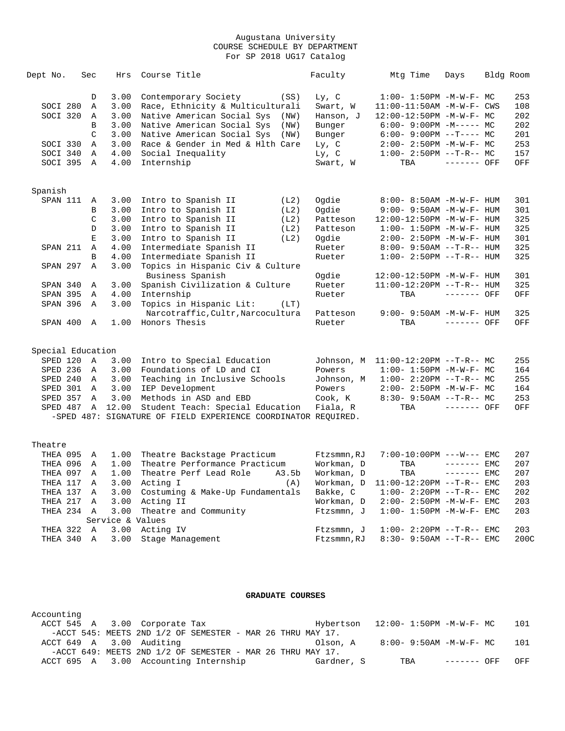| Dept No.          | Sec            | Hrs              | Course Title                                                   | Faculty     | Mtg Time                            | Days         | Bldg Room |      |
|-------------------|----------------|------------------|----------------------------------------------------------------|-------------|-------------------------------------|--------------|-----------|------|
|                   | D              | 3.00             | Contemporary Society<br>(SS)                                   | Ly, C       | $1:00 - 1:50PM -M-W-F - MC$         |              |           | 253  |
| SOCI 280          | Α              | 3.00             | Race, Ethnicity & Multiculturali                               | Swart, W    | $11:00-11:50AM$ -M-W-F- CWS         |              |           | 108  |
| SOCI 320          | Α              | 3.00             | Native American Social Sys<br>(NW)                             | Hanson, J   | $12:00-12:50PM -M-W-F-MC$           |              |           | 202  |
|                   | B              | 3.00             | Native American Social Sys<br>(NW)                             | Bunger      | $6:00 - 9:00PM -M--- MC$            |              |           | 202  |
|                   | $\mathcal{C}$  | 3.00             | Native American Social Sys<br>(NW)                             | Bunger      | $6:00-9:00PM$ --T---- MC            |              |           | 201  |
| SOCI 330          | $\mathbb{A}$   | 3.00             | Race & Gender in Med & Hlth Care                               | Ly, C       | $2:00 - 2:50PM -M-W-F-MC$           |              |           | 253  |
| SOCI 340          | Α              | 4.00             | Social Inequality                                              | Ly, C       | $1:00-2:50PM --T-R--MC$             |              |           | 157  |
| SOCI 395          | $\mathbb{A}$   | 4.00             | Internship                                                     | Swart, W    | TBA                                 | ------- OFF  |           | OFF  |
| Spanish           |                |                  |                                                                |             |                                     |              |           |      |
| SPAN 111          | Α              | 3.00             | Intro to Spanish II<br>(L2)                                    | Oqdie       | 8:00- 8:50AM -M-W-F- HUM            |              |           | 301  |
|                   | В              | 3.00             | Intro to Spanish II<br>(L2)                                    | Ogdie       | 9:00- 9:50AM -M-W-F- HUM            |              |           | 301  |
|                   | C              | 3.00             | Intro to Spanish II<br>(L2)                                    | Patteson    | 12:00-12:50PM -M-W-F- HUM           |              |           | 325  |
|                   | $\mathbb D$    | 3.00             | Intro to Spanish II<br>(L2)                                    | Patteson    | $1:00 - 1:50PM - M - W - F - HUM$   |              |           | 325  |
|                   | $\mathbf E$    | 3.00             | Intro to Spanish II<br>(L2)                                    | Ogdie       | 2:00- 2:50PM -M-W-F- HUM            |              |           | 301  |
| SPAN 211          | Α              | 4.00             | Intermediate Spanish II                                        | Rueter      | $8:00 - 9:50AM -T-R-- HUM$          |              |           | 325  |
|                   | B              | 4.00             | Intermediate Spanish II                                        | Rueter      | $1:00 - 2:50PM -T-R--HUM$           |              |           | 325  |
| SPAN 297          | Α              | 3.00             | Topics in Hispanic Civ & Culture                               |             |                                     |              |           |      |
|                   |                |                  | Business Spanish                                               | Ogdie       | 12:00-12:50PM -M-W-F- HUM           |              |           | 301  |
| SPAN 340          | Α              | 3.00             | Spanish Civilization & Culture                                 | Rueter      | $11:00-12:20PM$ --T-R-- HUM         |              |           | 325  |
| <b>SPAN 395</b>   | Α              | 4.00             | Internship                                                     | Rueter      | TBA                                 | ------- OFF  |           | OFF  |
| SPAN 396          | $\mathbb{A}$   | 3.00             | Topics in Hispanic Lit:<br>(LT)                                |             |                                     |              |           |      |
|                   |                |                  | Narcotraffic, Cultr, Narcocultura                              | Patteson    | $9:00 - 9:50AM - M - W - F - HUM$   |              |           | 325  |
| SPAN 400          | $\mathbb A$    | 1.00             | Honors Thesis                                                  | Rueter      | TBA                                 | ------- OFF  |           | OFF  |
| Special Education |                |                  |                                                                |             |                                     |              |           |      |
| SPED 120          | $\overline{A}$ | 3.00             | Intro to Special Education                                     |             | Johnson, M 11:00-12:20PM --T-R-- MC |              |           | 255  |
| SPED 236          | A              | 3.00             | Foundations of LD and CI                                       | Powers      | $1:00 - 1:50PM - M - W - F - MC$    |              |           | 164  |
| SPED 240          | $\mathbb{A}$   | 3.00             | Teaching in Inclusive Schools                                  | Johnson, M  | $1:00-2:20PM -T-R--MC$              |              |           | 255  |
| SPED 301          | Α              | 3.00             | IEP Development                                                | Powers      | $2:00 - 2:50PM -M-W-F - MC$         |              |           | 164  |
| SPED 357          | $\mathbb{A}$   | 3.00             | Methods in ASD and EBD                                         | Cook, K     | $8:30 - 9:50AM -T-R-- MC$           |              |           | 253  |
| SPED 487          | Α              | 12.00            | Student Teach: Special Education                               | Fiala, R    | TBA                                 | ------- OFF  |           | OFF  |
|                   |                |                  | -SPED 487: SIGNATURE OF FIELD EXPERIENCE COORDINATOR REOUIRED. |             |                                     |              |           |      |
| Theatre           |                |                  |                                                                |             |                                     |              |           |      |
| THEA 095          | Α              | 1.00             | Theatre Backstage Practicum                                    | Ftzsmmn, RJ | $7:00-10:00PM$ ---W--- EMC          |              |           | 207  |
| THEA 096          | Α              | 1.00             | Theatre Performance Practicum                                  | Workman, D  | TBA                                 | $------$ EMC |           | 207  |
| THEA 097          | Α              | 1.00             | Theatre Perf Lead Role<br>A3.5b                                | Workman, D  | TBA                                 | $------$ EMC |           | 207  |
| THEA 117          | Α              | 3.00             | Acting I<br>(A)                                                | Workman, D  | $11:00-12:20PM$ --T-R-- EMC         |              |           | 203  |
| THEA 137          | $\mathbb{A}$   | 3.00             | Costuming & Make-Up Fundamentals                               | Bakke, C    | $1:00 - 2:20PM -T-R--EMC$           |              |           | 202  |
| THEA 217          | Α              | 3.00             | Acting II                                                      | Workman, D  | $2:00 - 2:50PM -M-W-F-EMC$          |              |           | 203  |
| THEA 234 A        |                | 3.00             | Theatre and Community                                          | Ftzsmmn, J  | $1:00 - 1:50PM - M - W - F - EMC$   |              |           | 203  |
|                   |                | Service & Values |                                                                |             |                                     |              |           |      |
| THEA 322          | A              | 3.00             | Acting IV                                                      | Ftzsmmn, J  | $1:00 - 2:20PM -T-R--EMC$           |              |           | 203  |
| THEA 340          | Α              | 3.00             | Stage Management                                               | Ftzsmmn, RJ | $8:30 - 9:50AM -T-R--EMC$           |              |           | 200C |

### **GRADUATE COURSES**

| Accounting                            |  |                                                               |  |            |                                        |             |     |
|---------------------------------------|--|---------------------------------------------------------------|--|------------|----------------------------------------|-------------|-----|
| ACCT 545 A 3.00 Corporate Tax         |  |                                                               |  |            | $Hybertson$ $12:00-1:50PM$ $-M-W-F-MC$ |             | 101 |
|                                       |  | $-$ ACCT 545: MEETS 2ND 1/2 OF SEMESTER - MAR 26 THRU MAY 17. |  |            |                                        |             |     |
| ACCT 649 A 3.00 Auditing              |  |                                                               |  | Olson, A   | 8:00- 9:50AM -M-W-F- MC                |             | 101 |
|                                       |  | $-$ ACCT 649: MEETS 2ND 1/2 OF SEMESTER - MAR 26 THRU MAY 17. |  |            |                                        |             |     |
| ACCT 695 A 3.00 Accounting Internship |  |                                                               |  | Gardner, S | TBA                                    | ------- OFF | OFF |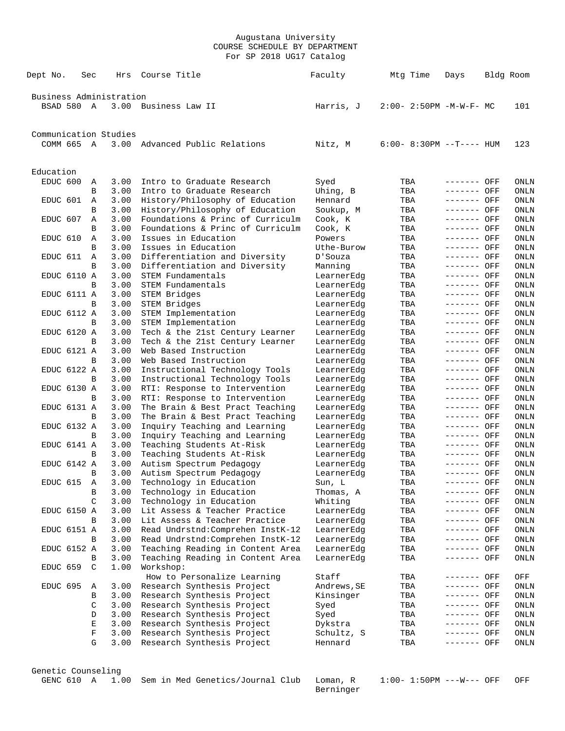| Dept No.  |             | Sec | Hrs                     | Course Title                                               | Faculty                  | Mtg Time                    | Days                       | Bldg Room           |
|-----------|-------------|-----|-------------------------|------------------------------------------------------------|--------------------------|-----------------------------|----------------------------|---------------------|
|           |             |     | Business Administration |                                                            |                          |                             |                            |                     |
|           | BSAD 580 A  |     | 3.00                    | Business Law II                                            | Harris, J                | $2:00 - 2:50PM -M-W-F - MC$ |                            | 101                 |
|           |             |     | Communication Studies   |                                                            |                          |                             |                            |                     |
|           | COMM 665 A  |     | 3.00                    | Advanced Public Relations                                  | Nitz, M                  | $6:00 - 8:30PM -T--- HUM$   |                            | 123                 |
| Education |             |     |                         |                                                            |                          |                             |                            |                     |
| EDUC 600  |             | Α   | 3.00                    | Intro to Graduate Research                                 | Syed                     | TBA                         | ------- OFF                | ONLN                |
|           |             | B   | 3.00                    | Intro to Graduate Research                                 | Uhing, B                 | TBA                         | ------- OFF                | ONLN                |
| EDUC 601  |             | Α   | 3.00                    | History/Philosophy of Education                            | Hennard                  | TBA                         | ------- OFF                | ONLN                |
|           |             | B   | 3.00                    | History/Philosophy of Education                            | Soukup, M                | TBA                         | ------- OFF                | ONLN                |
| EDUC 607  |             | Α   | 3.00                    | Foundations & Princ of Curriculm                           | Cook, K                  | TBA                         | ------- OFF                | ONLN                |
|           |             | B   | 3.00                    | Foundations & Princ of Curriculm                           | Cook, K                  | TBA                         | ------- OFF                | ONLN                |
| EDUC 610  |             | Α   | 3.00                    | Issues in Education                                        | Powers                   | TBA                         | ------- OFF                | ONLN                |
|           |             | B   | 3.00                    | Issues in Education                                        | Uthe-Burow               | TBA                         | ------- OFF                | ONLN                |
| EDUC 611  |             | Α   | 3.00                    | Differentiation and Diversity                              | D'Souza                  | TBA                         | ------- OFF                | ONLN                |
|           |             | B   | 3.00                    | Differentiation and Diversity                              | Manning                  | TBA                         | ------- OFF                | ONLN                |
|           | EDUC 6110 A |     | 3.00                    | STEM Fundamentals                                          | LearnerEdg               | TBA                         | ------- OFF                | ONLN                |
|           |             | B   | 3.00                    | STEM Fundamentals                                          | LearnerEdg               | TBA                         | ------- OFF                | ONLN                |
|           | EDUC 6111 A |     | 3.00                    | STEM Bridges                                               | LearnerEdg               | TBA                         | ------- OFF                | ONLN                |
|           |             | B   | 3.00                    | STEM Bridges                                               | LearnerEdg               | TBA                         | ------- OFF                | ONLN                |
|           | EDUC 6112 A |     | 3.00                    | STEM Implementation                                        | LearnerEdg               | TBA                         | ------- OFF                | ONLN                |
|           |             | B   | 3.00                    | STEM Implementation                                        | LearnerEdg               | TBA                         | ------- OFF                | ONLN                |
|           | EDUC 6120 A |     | 3.00                    | Tech & the 21st Century Learner                            | LearnerEdg               | TBA                         | ------- OFF                | ONLN                |
|           |             | B   | 3.00                    | Tech & the 21st Century Learner                            | LearnerEdg               | TBA                         | ------- OFF                | ONLN                |
|           | EDUC 6121 A |     | 3.00                    | Web Based Instruction                                      | LearnerEdg               | TBA                         | ------- OFF                | ONLN                |
|           |             | B   | 3.00                    | Web Based Instruction                                      | LearnerEdg               | TBA                         | ------- OFF                | ONLN                |
|           | EDUC 6122 A |     | 3.00                    | Instructional Technology Tools                             | LearnerEdg               | TBA                         | ------- OFF                | ONLN                |
|           |             | B   | 3.00                    | Instructional Technology Tools                             | LearnerEdg               | TBA                         | ------- OFF                | ONLN                |
|           | EDUC 6130 A |     | 3.00                    | RTI: Response to Intervention                              | LearnerEdg               | TBA                         | ------- OFF                | ONLN                |
|           |             | B   | 3.00                    | RTI: Response to Intervention                              | LearnerEdg               | TBA                         | ------- OFF                | ONLN                |
|           | EDUC 6131 A | B   | 3.00                    | The Brain & Best Pract Teaching                            | LearnerEdg               | TBA                         | ------- OFF                | ONLN                |
|           |             |     | 3.00                    | The Brain & Best Pract Teaching                            | LearnerEdg               | TBA                         | ------- OFF                | ONLN                |
|           | EDUC 6132 A | B   | 3.00<br>3.00            | Inquiry Teaching and Learning                              | LearnerEdg               | TBA                         | ------- OFF<br>------- OFF | ONLN                |
|           | EDUC 6141 A |     | 3.00                    | Inquiry Teaching and Learning<br>Teaching Students At-Risk | LearnerEdg<br>LearnerEdg | TBA<br>TBA                  | ------- OFF                | ONLN<br><b>ONLN</b> |
|           |             | B   | 3.00                    | Teaching Students At-Risk                                  | LearnerEdg               | TBA                         | ------- OFF                | <b>ONLN</b>         |
|           | EDUC 6142 A |     | 3.00                    | Autism Spectrum Pedagogy                                   | LearnerEdg               | TBA                         | ------- OFF                | ONLN                |
|           |             | B   | 3.00                    | Autism Spectrum Pedagogy                                   | LearnerEdg               | TBA                         | ------- OFF                | ONLN                |
| EDUC 615  |             | Α   | 3.00                    | Technology in Education                                    | Sun, L                   | TBA                         | ------- OFF                | ONLN                |
|           |             | В   | 3.00                    | Technology in Education                                    | Thomas, A                | TBA                         | ------- OFF                | ONLN                |
|           |             | C   | 3.00                    | Technology in Education                                    | Whiting                  | TBA                         | ------- OFF                | ONLN                |
|           | EDUC 6150 A |     | 3.00                    | Lit Assess & Teacher Practice                              | LearnerEdg               | TBA                         | ------- OFF                | ONLN                |
|           |             | B   | 3.00                    | Lit Assess & Teacher Practice                              | LearnerEdg               | TBA                         | ------- OFF                | ONLN                |
|           | EDUC 6151 A |     | 3.00                    | Read Undrstnd: Comprehen InstK-12                          | LearnerEdg               | TBA                         | ------- OFF                | ONLN                |
|           |             | B   | 3.00                    | Read Undrstnd: Comprehen InstK-12                          | LearnerEdg               | TBA                         | ------- OFF                | ONLN                |
|           | EDUC 6152 A |     | 3.00                    | Teaching Reading in Content Area                           | LearnerEdg               | TBA                         | ------- OFF                | ONLN                |
|           |             | B   | 3.00                    | Teaching Reading in Content Area                           | LearnerEdg               | TBA                         | ------- OFF                | ONLN                |
| EDUC 659  |             | C   | 1.00                    | Workshop:                                                  |                          |                             |                            |                     |
|           |             |     |                         | How to Personalize Learning                                | Staff                    | TBA                         | ------- OFF                | OFF                 |
| EDUC 695  |             | Α   | 3.00                    | Research Synthesis Project                                 | Andrews, SE              | TBA                         | ------- OFF                | ONLN                |
|           |             | В   | 3.00                    | Research Synthesis Project                                 | Kinsinger                | TBA                         | ------- OFF                | ONLN                |
|           |             | C   | 3.00                    | Research Synthesis Project                                 | Syed                     | TBA                         | ------- OFF                | ONLN                |
|           |             | D   | 3.00                    | Research Synthesis Project                                 | Syed                     | TBA                         | ------- OFF                | ONLN                |
|           |             | Е   | 3.00                    | Research Synthesis Project                                 | Dykstra                  | TBA                         | ------- OFF                | ONLN                |
|           |             | F   | 3.00                    | Research Synthesis Project                                 | Schultz, S               | TBA                         | ------- OFF                | ONLN                |
|           |             | G   | 3.00                    | Research Synthesis Project                                 | Hennard                  | TBA                         | ------- OFF                | ONLN                |
|           |             |     |                         |                                                            |                          |                             |                            |                     |

Genetic Counseling

Berninger